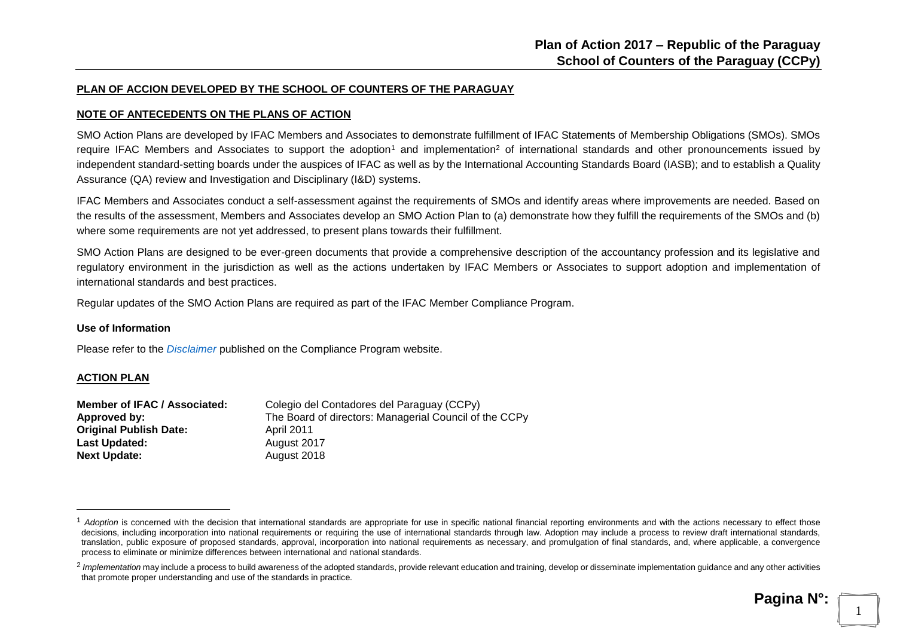#### **PLAN OF ACCION DEVELOPED BY THE SCHOOL OF COUNTERS OF THE PARAGUAY**

#### **NOTE OF ANTECEDENTS ON THE PLANS OF ACTION**

SMO Action Plans are developed by IFAC Members and Associates to demonstrate fulfillment of IFAC Statements of Membership Obligations (SMOs). SMOs require IFAC Members and Associates to support the adoption<sup>1</sup> and implementation<sup>2</sup> of international standards and other pronouncements issued by independent standard-setting boards under the auspices of IFAC as well as by the International Accounting Standards Board (IASB); and to establish a Quality Assurance (QA) review and Investigation and Disciplinary (I&D) systems.

IFAC Members and Associates conduct a self-assessment against the requirements of SMOs and identify areas where improvements are needed. Based on the results of the assessment, Members and Associates develop an SMO Action Plan to (a) demonstrate how they fulfill the requirements of the SMOs and (b) where some requirements are not yet addressed, to present plans towards their fulfillment.

SMO Action Plans are designed to be ever-green documents that provide a comprehensive description of the accountancy profession and its legislative and regulatory environment in the jurisdiction as well as the actions undertaken by IFAC Members or Associates to support adoption and implementation of international standards and best practices.

Regular updates of the SMO Action Plans are required as part of the IFAC Member Compliance Program.

#### **Use of Information**

Please refer to the *[Disclaimer](http://www.ifac.org/about-ifac/membership/members/disclaimer)* published on the Compliance Program website.

#### **ACTION PLAN**

<u>.</u>

| Member of IFAC / Associated:  | Colegio del Contadores del Paraguay (CCPy)             |
|-------------------------------|--------------------------------------------------------|
| Approved by:                  | The Board of directors: Managerial Council of the CCPy |
| <b>Original Publish Date:</b> | <b>April 2011</b>                                      |
| Last Updated:                 | August 2017                                            |
| <b>Next Update:</b>           | August 2018                                            |

1

<sup>&</sup>lt;sup>1</sup> Adoption is concerned with the decision that international standards are appropriate for use in specific national financial reporting environments and with the actions necessary to effect those decisions, including incorporation into national requirements or requiring the use of international standards through law. Adoption may include a process to review draft international standards, translation, public exposure of proposed standards, approval, incorporation into national requirements as necessary, and promulgation of final standards, and, where applicable, a convergence process to eliminate or minimize differences between international and national standards.

<sup>&</sup>lt;sup>2</sup> Implementation may include a process to build awareness of the adopted standards, provide relevant education and training, develop or disseminate implementation guidance and any other activities that promote proper understanding and use of the standards in practice.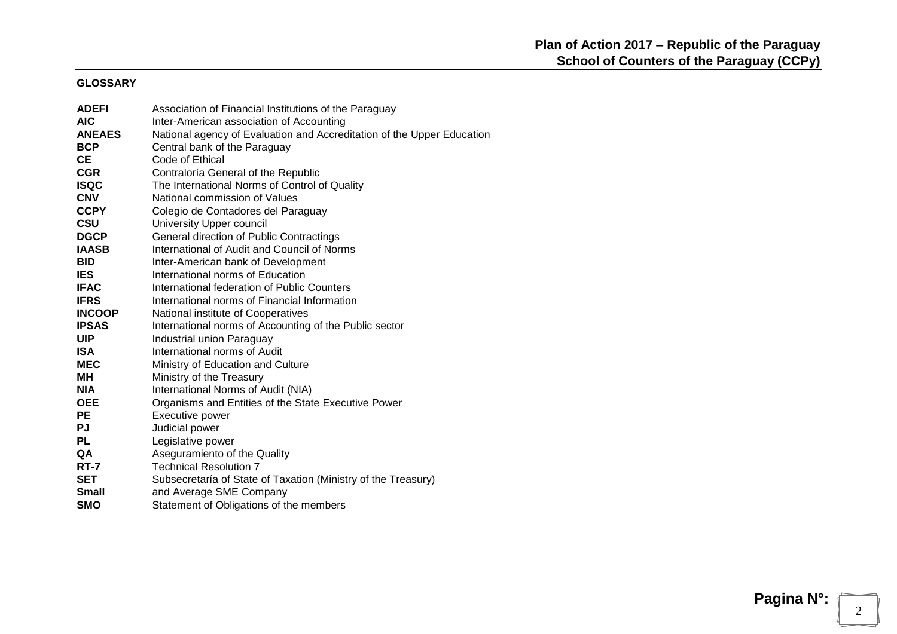#### **GLOSSARY**

| <b>ADEFI</b>  | Association of Financial Institutions of the Paraguay                  |
|---------------|------------------------------------------------------------------------|
| <b>AIC</b>    | Inter-American association of Accounting                               |
| <b>ANEAES</b> | National agency of Evaluation and Accreditation of the Upper Education |
| <b>BCP</b>    | Central bank of the Paraguay                                           |
| <b>CE</b>     | Code of Ethical                                                        |
| <b>CGR</b>    | Contraloría General of the Republic                                    |
| <b>ISQC</b>   | The International Norms of Control of Quality                          |
| <b>CNV</b>    | National commission of Values                                          |
| <b>CCPY</b>   | Colegio de Contadores del Paraguay                                     |
| <b>CSU</b>    | University Upper council                                               |
| <b>DGCP</b>   | General direction of Public Contractings                               |
| <b>IAASB</b>  | International of Audit and Council of Norms                            |
| <b>BID</b>    | Inter-American bank of Development                                     |
| <b>IES</b>    | International norms of Education                                       |
| <b>IFAC</b>   | International federation of Public Counters                            |
| <b>IFRS</b>   | International norms of Financial Information                           |
| <b>INCOOP</b> | National institute of Cooperatives                                     |
| <b>IPSAS</b>  | International norms of Accounting of the Public sector                 |
| <b>UIP</b>    | Industrial union Paraguay                                              |
| <b>ISA</b>    | International norms of Audit                                           |
| <b>MEC</b>    | Ministry of Education and Culture                                      |
| MН            | Ministry of the Treasury                                               |
| <b>NIA</b>    | International Norms of Audit (NIA)                                     |
| <b>OEE</b>    | Organisms and Entities of the State Executive Power                    |
| <b>PE</b>     | Executive power                                                        |
| <b>PJ</b>     | Judicial power                                                         |
| <b>PL</b>     | Legislative power                                                      |
| QA            | Aseguramiento of the Quality                                           |
| RT-7          | <b>Technical Resolution 7</b>                                          |
| <b>SET</b>    | Subsecretaría of State of Taxation (Ministry of the Treasury)          |
| <b>Small</b>  | and Average SME Company                                                |
| <b>SMO</b>    | Statement of Obligations of the members                                |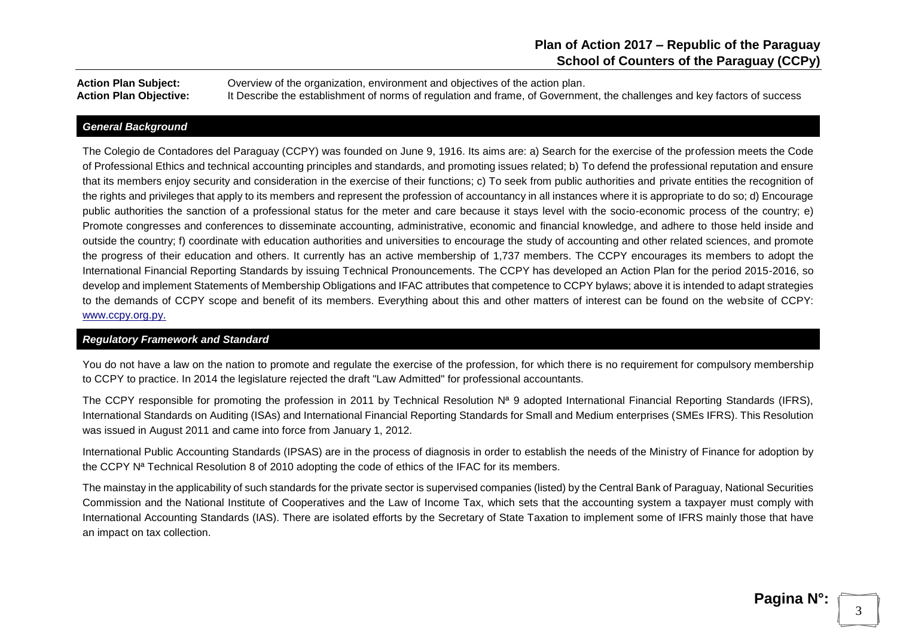**Action Plan Subject:** Overview of the organization, environment and objectives of the action plan. Action Plan Objective: It Describe the establishment of norms of regulation and frame, of Government, the challenges and key factors of success

#### *General Background*

The Colegio de Contadores del Paraguay (CCPY) was founded on June 9, 1916. Its aims are: a) Search for the exercise of the profession meets the Code of Professional Ethics and technical accounting principles and standards, and promoting issues related; b) To defend the professional reputation and ensure that its members enjoy security and consideration in the exercise of their functions; c) To seek from public authorities and private entities the recognition of the rights and privileges that apply to its members and represent the profession of accountancy in all instances where it is appropriate to do so; d) Encourage public authorities the sanction of a professional status for the meter and care because it stays level with the socio-economic process of the country; e) Promote congresses and conferences to disseminate accounting, administrative, economic and financial knowledge, and adhere to those held inside and outside the country; f) coordinate with education authorities and universities to encourage the study of accounting and other related sciences, and promote the progress of their education and others. It currently has an active membership of 1,737 members. The CCPY encourages its members to adopt the International Financial Reporting Standards by issuing Technical Pronouncements. The CCPY has developed an Action Plan for the period 2015-2016, so develop and implement Statements of Membership Obligations and IFAC attributes that competence to CCPY bylaws; above it is intended to adapt strategies to the demands of CCPY scope and benefit of its members. Everything about this and other matters of interest can be found on the website of CCPY: [www.ccpy.org.py.](http://www.ccpy.org.py/)

#### *Regulatory Framework and Standard*

You do not have a law on the nation to promote and regulate the exercise of the profession, for which there is no reguirement for compulsory membership to CCPY to practice. In 2014 the legislature rejected the draft "Law Admitted" for professional accountants.

The CCPY responsible for promoting the profession in 2011 by Technical Resolution N<sup>a</sup> 9 adopted International Financial Reporting Standards (IFRS), International Standards on Auditing (ISAs) and International Financial Reporting Standards for Small and Medium enterprises (SMEs IFRS). This Resolution was issued in August 2011 and came into force from January 1, 2012.

International Public Accounting Standards (IPSAS) are in the process of diagnosis in order to establish the needs of the Ministry of Finance for adoption by the CCPY N<sup>a</sup> Technical Resolution 8 of 2010 adopting the code of ethics of the IFAC for its members.

The mainstay in the applicability of such standards for the private sector is supervised companies (listed) by the Central Bank of Paraguay, National Securities Commission and the National Institute of Cooperatives and the Law of Income Tax, which sets that the accounting system a taxpayer must comply with International Accounting Standards (IAS). There are isolated efforts by the Secretary of State Taxation to implement some of IFRS mainly those that have an impact on tax collection.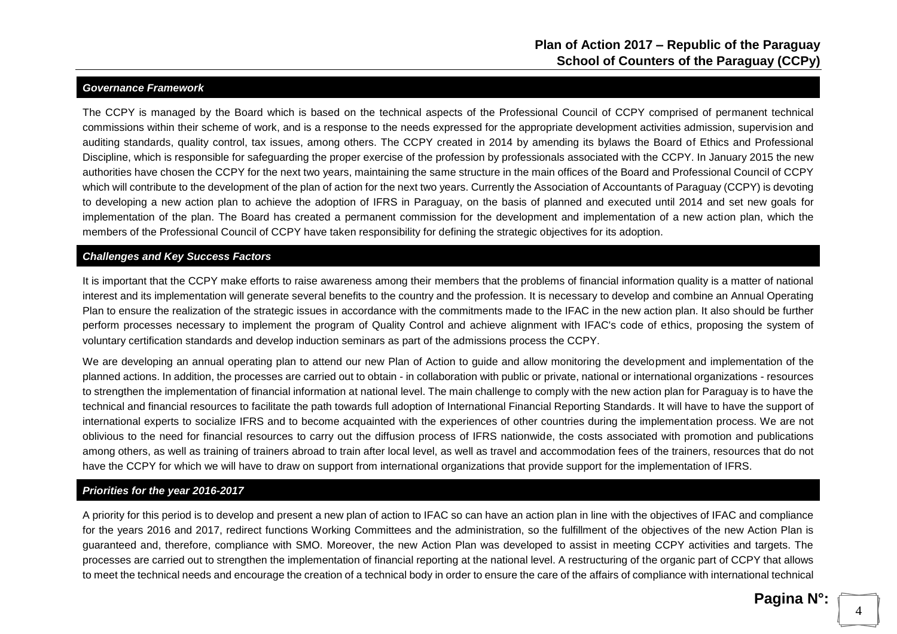#### *Governance Framework*

The CCPY is managed by the Board which is based on the technical aspects of the Professional Council of CCPY comprised of permanent technical commissions within their scheme of work, and is a response to the needs expressed for the appropriate development activities admission, supervision and auditing standards, quality control, tax issues, among others. The CCPY created in 2014 by amending its bylaws the Board of Ethics and Professional Discipline, which is responsible for safeguarding the proper exercise of the profession by professionals associated with the CCPY. In January 2015 the new authorities have chosen the CCPY for the next two years, maintaining the same structure in the main offices of the Board and Professional Council of CCPY which will contribute to the development of the plan of action for the next two years. Currently the Association of Accountants of Paraguay (CCPY) is devoting to developing a new action plan to achieve the adoption of IFRS in Paraguay, on the basis of planned and executed until 2014 and set new goals for implementation of the plan. The Board has created a permanent commission for the development and implementation of a new action plan, which the members of the Professional Council of CCPY have taken responsibility for defining the strategic objectives for its adoption.

#### *Challenges and Key Success Factors*

It is important that the CCPY make efforts to raise awareness among their members that the problems of financial information quality is a matter of national interest and its implementation will generate several benefits to the country and the profession. It is necessary to develop and combine an Annual Operating Plan to ensure the realization of the strategic issues in accordance with the commitments made to the IFAC in the new action plan. It also should be further perform processes necessary to implement the program of Quality Control and achieve alignment with IFAC's code of ethics, proposing the system of voluntary certification standards and develop induction seminars as part of the admissions process the CCPY.

We are developing an annual operating plan to attend our new Plan of Action to guide and allow monitoring the development and implementation of the planned actions. In addition, the processes are carried out to obtain - in collaboration with public or private, national or international organizations - resources to strengthen the implementation of financial information at national level. The main challenge to comply with the new action plan for Paraguay is to have the technical and financial resources to facilitate the path towards full adoption of International Financial Reporting Standards. It will have to have the support of international experts to socialize IFRS and to become acquainted with the experiences of other countries during the implementation process. We are not oblivious to the need for financial resources to carry out the diffusion process of IFRS nationwide, the costs associated with promotion and publications among others, as well as training of trainers abroad to train after local level, as well as travel and accommodation fees of the trainers, resources that do not have the CCPY for which we will have to draw on support from international organizations that provide support for the implementation of IFRS.

#### *Priorities for the year 2016-2017*

A priority for this period is to develop and present a new plan of action to IFAC so can have an action plan in line with the objectives of IFAC and compliance for the years 2016 and 2017, redirect functions Working Committees and the administration, so the fulfillment of the objectives of the new Action Plan is guaranteed and, therefore, compliance with SMO. Moreover, the new Action Plan was developed to assist in meeting CCPY activities and targets. The processes are carried out to strengthen the implementation of financial reporting at the national level. A restructuring of the organic part of CCPY that allows to meet the technical needs and encourage the creation of a technical body in order to ensure the care of the affairs of compliance with international technical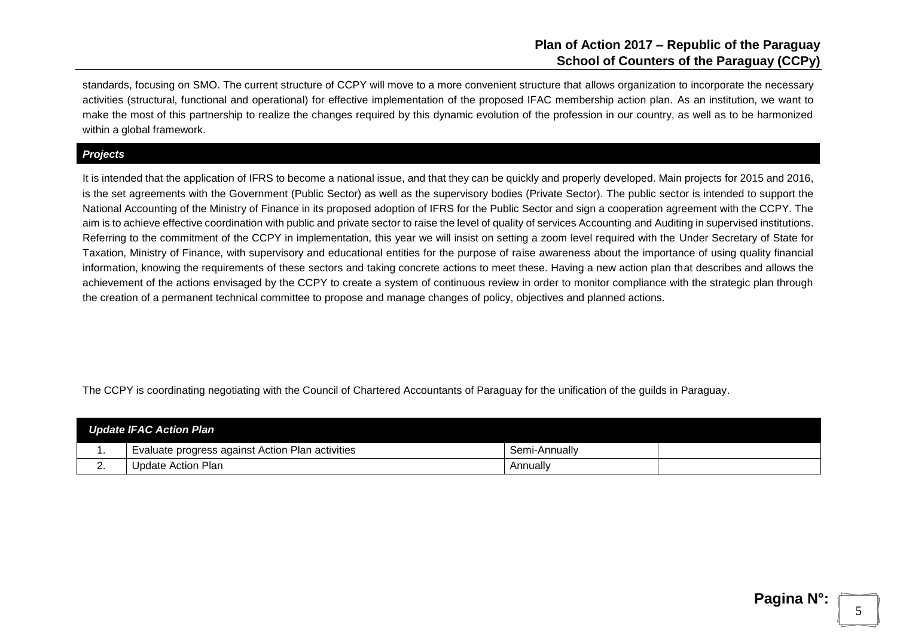standards, focusing on SMO. The current structure of CCPY will move to a more convenient structure that allows organization to incorporate the necessary activities (structural, functional and operational) for effective implementation of the proposed IFAC membership action plan. As an institution, we want to make the most of this partnership to realize the changes required by this dynamic evolution of the profession in our country, as well as to be harmonized within a global framework.

#### *Projects*

It is intended that the application of IFRS to become a national issue, and that they can be quickly and properly developed. Main projects for 2015 and 2016, is the set agreements with the Government (Public Sector) as well as the supervisory bodies (Private Sector). The public sector is intended to support the National Accounting of the Ministry of Finance in its proposed adoption of IFRS for the Public Sector and sign a cooperation agreement with the CCPY. The aim is to achieve effective coordination with public and private sector to raise the level of quality of services Accounting and Auditing in supervised institutions. Referring to the commitment of the CCPY in implementation, this year we will insist on setting a zoom level required with the Under Secretary of State for Taxation, Ministry of Finance, with supervisory and educational entities for the purpose of raise awareness about the importance of using quality financial information, knowing the requirements of these sectors and taking concrete actions to meet these. Having a new action plan that describes and allows the achievement of the actions envisaged by the CCPY to create a system of continuous review in order to monitor compliance with the strategic plan through the creation of a permanent technical committee to propose and manage changes of policy, objectives and planned actions.

The CCPY is coordinating negotiating with the Council of Chartered Accountants of Paraguay for the unification of the guilds in Paraguay.

| <b>Update IFAC Action Plan</b> |                                                  |               |  |  |  |
|--------------------------------|--------------------------------------------------|---------------|--|--|--|
| . .                            | Evaluate progress against Action Plan activities | Semi-Annually |  |  |  |
| <u>.</u> .                     | Update Action Plan                               | Annually      |  |  |  |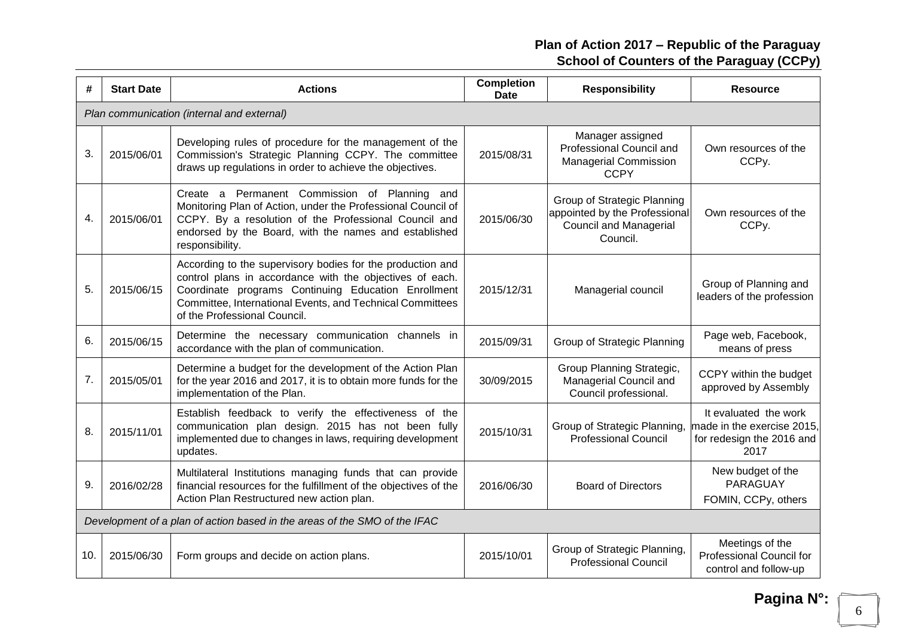| #   | <b>Start Date</b> | <b>Actions</b>                                                                                                                                                                                                                                                             | <b>Completion</b><br>Date | <b>Responsibility</b>                                                                                     | <b>Resource</b>                                                                          |
|-----|-------------------|----------------------------------------------------------------------------------------------------------------------------------------------------------------------------------------------------------------------------------------------------------------------------|---------------------------|-----------------------------------------------------------------------------------------------------------|------------------------------------------------------------------------------------------|
|     |                   | Plan communication (internal and external)                                                                                                                                                                                                                                 |                           |                                                                                                           |                                                                                          |
| 3.  | 2015/06/01        | Developing rules of procedure for the management of the<br>Commission's Strategic Planning CCPY. The committee<br>draws up regulations in order to achieve the objectives.                                                                                                 | 2015/08/31                | Manager assigned<br>Professional Council and<br><b>Managerial Commission</b><br><b>CCPY</b>               | Own resources of the<br>CCPy.                                                            |
| 4.  | 2015/06/01        | Create a Permanent Commission of Planning and<br>Monitoring Plan of Action, under the Professional Council of<br>CCPY. By a resolution of the Professional Council and<br>endorsed by the Board, with the names and established<br>responsibility.                         | 2015/06/30                | Group of Strategic Planning<br>appointed by the Professional<br><b>Council and Managerial</b><br>Council. | Own resources of the<br>CCPy.                                                            |
| 5.  | 2015/06/15        | According to the supervisory bodies for the production and<br>control plans in accordance with the objectives of each.<br>Coordinate programs Continuing Education Enrollment<br>Committee, International Events, and Technical Committees<br>of the Professional Council. | 2015/12/31                | Managerial council                                                                                        | Group of Planning and<br>leaders of the profession                                       |
| 6.  | 2015/06/15        | Determine the necessary communication channels in<br>accordance with the plan of communication.                                                                                                                                                                            | 2015/09/31                | Group of Strategic Planning                                                                               | Page web, Facebook,<br>means of press                                                    |
| 7.  | 2015/05/01        | Determine a budget for the development of the Action Plan<br>for the year 2016 and 2017, it is to obtain more funds for the<br>implementation of the Plan.                                                                                                                 | 30/09/2015                | Group Planning Strategic,<br>Managerial Council and<br>Council professional.                              | CCPY within the budget<br>approved by Assembly                                           |
| 8.  | 2015/11/01        | Establish feedback to verify the effectiveness of the<br>communication plan design. 2015 has not been fully<br>implemented due to changes in laws, requiring development<br>updates.                                                                                       | 2015/10/31                | Group of Strategic Planning,<br><b>Professional Council</b>                                               | It evaluated the work<br>made in the exercise 2015,<br>for redesign the 2016 and<br>2017 |
| 9.  | 2016/02/28        | Multilateral Institutions managing funds that can provide<br>financial resources for the fulfillment of the objectives of the<br>Action Plan Restructured new action plan.                                                                                                 | 2016/06/30                | <b>Board of Directors</b>                                                                                 | New budget of the<br>PARAGUAY<br>FOMIN, CCPy, others                                     |
|     |                   | Development of a plan of action based in the areas of the SMO of the IFAC                                                                                                                                                                                                  |                           |                                                                                                           |                                                                                          |
| 10. | 2015/06/30        | Form groups and decide on action plans.                                                                                                                                                                                                                                    | 2015/10/01                | Group of Strategic Planning,<br><b>Professional Council</b>                                               | Meetings of the<br><b>Professional Council for</b><br>control and follow-up              |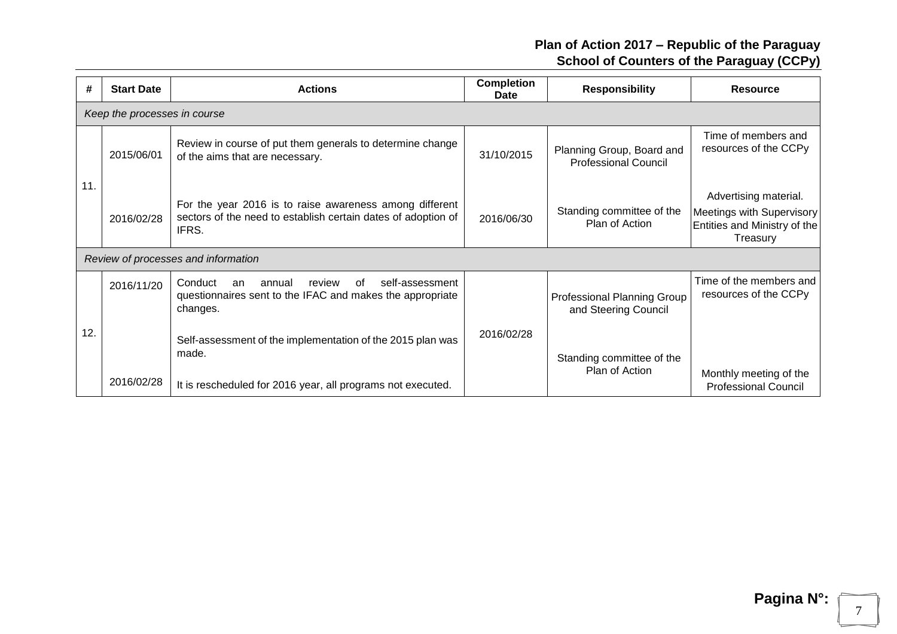| #   | <b>Start Date</b>            | <b>Actions</b>                                                                                                                      | <b>Completion</b><br>Date | <b>Responsibility</b>                                    | <b>Resource</b>                                                                                |  |  |
|-----|------------------------------|-------------------------------------------------------------------------------------------------------------------------------------|---------------------------|----------------------------------------------------------|------------------------------------------------------------------------------------------------|--|--|
|     | Keep the processes in course |                                                                                                                                     |                           |                                                          |                                                                                                |  |  |
|     | 2015/06/01                   | Review in course of put them generals to determine change<br>of the aims that are necessary.                                        | 31/10/2015                | Planning Group, Board and<br><b>Professional Council</b> | Time of members and<br>resources of the CCPy                                                   |  |  |
| 11. | 2016/02/28                   | For the year 2016 is to raise awareness among different<br>sectors of the need to establish certain dates of adoption of<br>IFRS.   | 2016/06/30                | Standing committee of the<br>Plan of Action              | Advertising material.<br>Meetings with Supervisory<br>Entities and Ministry of the<br>Treasury |  |  |
|     |                              | Review of processes and information                                                                                                 |                           |                                                          |                                                                                                |  |  |
| 12. | 2016/11/20                   | self-assessment<br>Conduct<br>annual<br>review<br>οf<br>an<br>questionnaires sent to the IFAC and makes the appropriate<br>changes. | 2016/02/28                | Professional Planning Group<br>and Steering Council      | Time of the members and<br>resources of the CCPy                                               |  |  |
|     |                              | Self-assessment of the implementation of the 2015 plan was<br>made.                                                                 |                           | Standing committee of the<br>Plan of Action              | Monthly meeting of the                                                                         |  |  |
|     | 2016/02/28                   | It is rescheduled for 2016 year, all programs not executed.                                                                         |                           |                                                          | <b>Professional Council</b>                                                                    |  |  |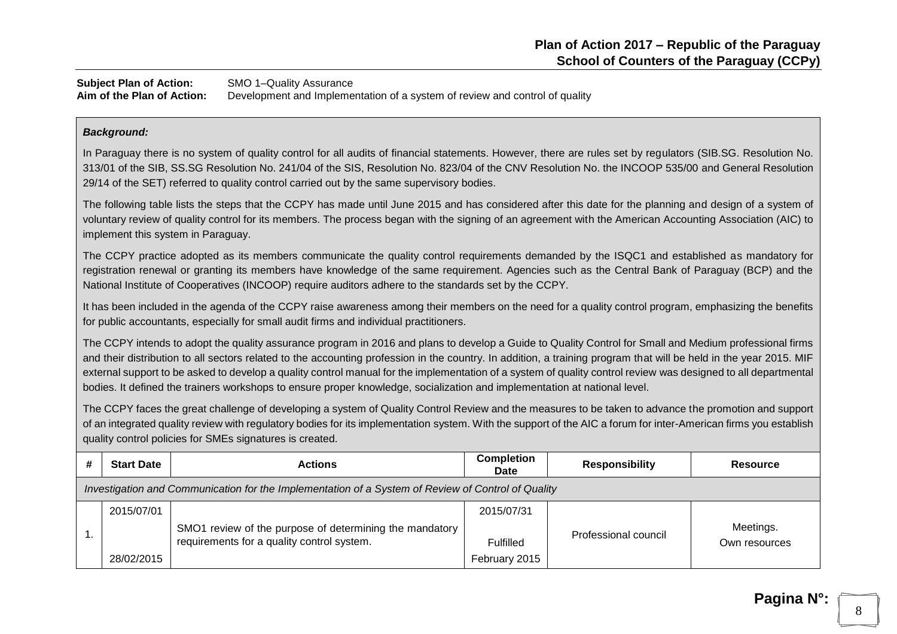**Subject Plan of Action:** SMO 1–Quality Assurance **Aim of the Plan of Action:** Development and Implementation of a system of review and control of quality

#### *Background:*

In Paraguay there is no system of quality control for all audits of financial statements. However, there are rules set by regulators (SIB.SG. Resolution No. 313/01 of the SIB, SS.SG Resolution No. 241/04 of the SIS, Resolution No. 823/04 of the CNV Resolution No. the INCOOP 535/00 and General Resolution 29/14 of the SET) referred to quality control carried out by the same supervisory bodies.

The following table lists the steps that the CCPY has made until June 2015 and has considered after this date for the planning and design of a system of voluntary review of quality control for its members. The process began with the signing of an agreement with the American Accounting Association (AIC) to implement this system in Paraguay.

The CCPY practice adopted as its members communicate the quality control requirements demanded by the ISQC1 and established as mandatory for registration renewal or granting its members have knowledge of the same requirement. Agencies such as the Central Bank of Paraguay (BCP) and the National Institute of Cooperatives (INCOOP) require auditors adhere to the standards set by the CCPY.

It has been included in the agenda of the CCPY raise awareness among their members on the need for a quality control program, emphasizing the benefits for public accountants, especially for small audit firms and individual practitioners.

The CCPY intends to adopt the quality assurance program in 2016 and plans to develop a Guide to Quality Control for Small and Medium professional firms and their distribution to all sectors related to the accounting profession in the country. In addition, a training program that will be held in the year 2015. MIF external support to be asked to develop a quality control manual for the implementation of a system of quality control review was designed to all departmental bodies. It defined the trainers workshops to ensure proper knowledge, socialization and implementation at national level.

The CCPY faces the great challenge of developing a system of Quality Control Review and the measures to be taken to advance the promotion and support of an integrated quality review with regulatory bodies for its implementation system. With the support of the AIC a forum for inter-American firms you establish quality control policies for SMEs signatures is created.

| <b>Start Date</b>                                                                                  | <b>Actions</b>                                                                                        | <b>Completion</b><br><b>Date</b>                | <b>Responsibility</b> | <b>Resource</b>            |  |
|----------------------------------------------------------------------------------------------------|-------------------------------------------------------------------------------------------------------|-------------------------------------------------|-----------------------|----------------------------|--|
| Investigation and Communication for the Implementation of a System of Review of Control of Quality |                                                                                                       |                                                 |                       |                            |  |
| 2015/07/01<br>28/02/2015                                                                           | SMO1 review of the purpose of determining the mandatory<br>requirements for a quality control system. | 2015/07/31<br><b>Fulfilled</b><br>February 2015 | Professional council  | Meetings.<br>Own resources |  |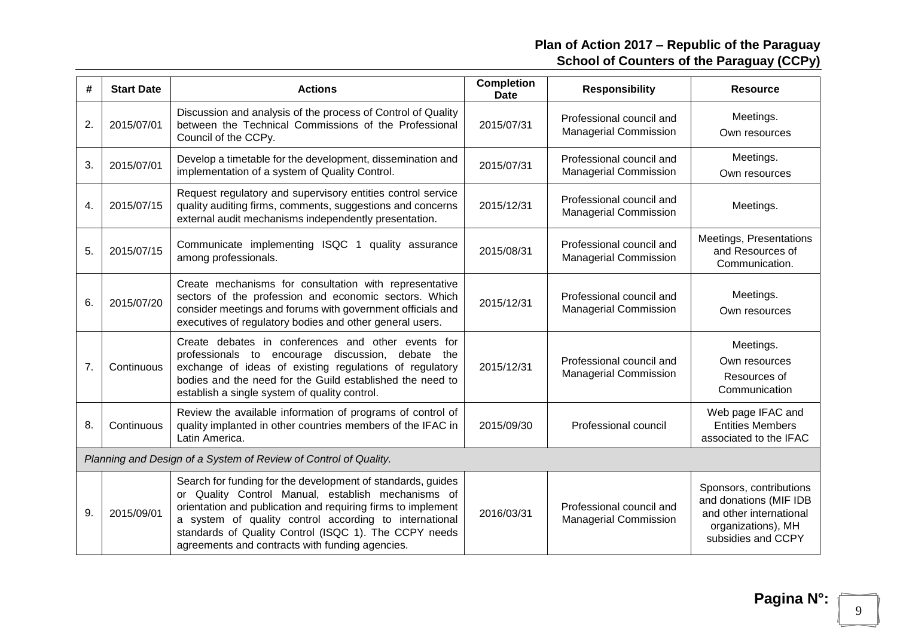| #  | <b>Start Date</b> | <b>Actions</b>                                                                                                                                                                                                                                                                                                                                          | <b>Completion</b><br><b>Date</b> | <b>Responsibility</b>                                    | <b>Resource</b>                                                                                                          |
|----|-------------------|---------------------------------------------------------------------------------------------------------------------------------------------------------------------------------------------------------------------------------------------------------------------------------------------------------------------------------------------------------|----------------------------------|----------------------------------------------------------|--------------------------------------------------------------------------------------------------------------------------|
| 2. | 2015/07/01        | Discussion and analysis of the process of Control of Quality<br>between the Technical Commissions of the Professional<br>Council of the CCPy.                                                                                                                                                                                                           | 2015/07/31                       | Professional council and<br><b>Managerial Commission</b> | Meetings.<br>Own resources                                                                                               |
| 3. | 2015/07/01        | Develop a timetable for the development, dissemination and<br>implementation of a system of Quality Control.                                                                                                                                                                                                                                            | 2015/07/31                       | Professional council and<br><b>Managerial Commission</b> | Meetings.<br>Own resources                                                                                               |
| 4. | 2015/07/15        | Request regulatory and supervisory entities control service<br>quality auditing firms, comments, suggestions and concerns<br>external audit mechanisms independently presentation.                                                                                                                                                                      | 2015/12/31                       | Professional council and<br><b>Managerial Commission</b> | Meetings.                                                                                                                |
| 5. | 2015/07/15        | Communicate implementing ISQC 1<br>quality assurance<br>among professionals.                                                                                                                                                                                                                                                                            | 2015/08/31                       | Professional council and<br><b>Managerial Commission</b> | Meetings, Presentations<br>and Resources of<br>Communication.                                                            |
| 6. | 2015/07/20        | Create mechanisms for consultation with representative<br>sectors of the profession and economic sectors. Which<br>consider meetings and forums with government officials and<br>executives of regulatory bodies and other general users.                                                                                                               | 2015/12/31                       | Professional council and<br><b>Managerial Commission</b> | Meetings.<br>Own resources                                                                                               |
| 7. | Continuous        | Create debates in conferences and other events for<br>professionals to encourage discussion, debate the<br>exchange of ideas of existing regulations of regulatory<br>bodies and the need for the Guild established the need to<br>establish a single system of quality control.                                                                        | 2015/12/31                       | Professional council and<br><b>Managerial Commission</b> | Meetings.<br>Own resources<br>Resources of<br>Communication                                                              |
| 8. | Continuous        | Review the available information of programs of control of<br>quality implanted in other countries members of the IFAC in<br>Latin America.                                                                                                                                                                                                             | 2015/09/30                       | Professional council                                     | Web page IFAC and<br><b>Entities Members</b><br>associated to the IFAC                                                   |
|    |                   | Planning and Design of a System of Review of Control of Quality.                                                                                                                                                                                                                                                                                        |                                  |                                                          |                                                                                                                          |
| 9. | 2015/09/01        | Search for funding for the development of standards, guides<br>or Quality Control Manual, establish mechanisms of<br>orientation and publication and requiring firms to implement<br>a system of quality control according to international<br>standards of Quality Control (ISQC 1). The CCPY needs<br>agreements and contracts with funding agencies. | 2016/03/31                       | Professional council and<br><b>Managerial Commission</b> | Sponsors, contributions<br>and donations (MIF IDB<br>and other international<br>organizations), MH<br>subsidies and CCPY |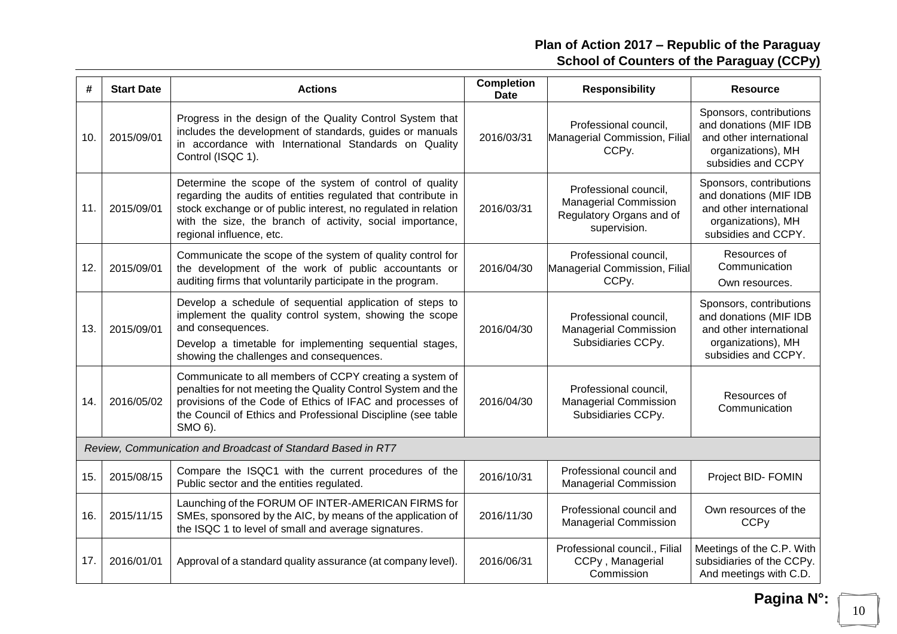| #   | <b>Start Date</b> | <b>Actions</b>                                                                                                                                                                                                                                                                      | <b>Completion</b><br><b>Date</b> | <b>Responsibility</b>                                                                             | <b>Resource</b>                                                                                                           |
|-----|-------------------|-------------------------------------------------------------------------------------------------------------------------------------------------------------------------------------------------------------------------------------------------------------------------------------|----------------------------------|---------------------------------------------------------------------------------------------------|---------------------------------------------------------------------------------------------------------------------------|
| 10. | 2015/09/01        | Progress in the design of the Quality Control System that<br>includes the development of standards, guides or manuals<br>in accordance with International Standards on Quality<br>Control (ISQC 1).                                                                                 | 2016/03/31                       | Professional council,<br>Managerial Commission, Filial<br>CCPy.                                   | Sponsors, contributions<br>and donations (MIF IDB<br>and other international<br>organizations), MH<br>subsidies and CCPY  |
| 11. | 2015/09/01        | Determine the scope of the system of control of quality<br>regarding the audits of entities regulated that contribute in<br>stock exchange or of public interest, no regulated in relation<br>with the size, the branch of activity, social importance,<br>regional influence, etc. | 2016/03/31                       | Professional council,<br><b>Managerial Commission</b><br>Regulatory Organs and of<br>supervision. | Sponsors, contributions<br>and donations (MIF IDB<br>and other international<br>organizations), MH<br>subsidies and CCPY. |
| 12. | 2015/09/01        | Communicate the scope of the system of quality control for<br>the development of the work of public accountants or<br>auditing firms that voluntarily participate in the program.                                                                                                   | 2016/04/30                       | Professional council,<br>Managerial Commission, Filial<br>CCPy.                                   | Resources of<br>Communication<br>Own resources.                                                                           |
| 13. | 2015/09/01        | Develop a schedule of sequential application of steps to<br>implement the quality control system, showing the scope<br>and consequences.<br>Develop a timetable for implementing sequential stages,<br>showing the challenges and consequences.                                     | 2016/04/30                       | Professional council,<br><b>Managerial Commission</b><br>Subsidiaries CCPy.                       | Sponsors, contributions<br>and donations (MIF IDB<br>and other international<br>organizations), MH<br>subsidies and CCPY. |
| 14. | 2016/05/02        | Communicate to all members of CCPY creating a system of<br>penalties for not meeting the Quality Control System and the<br>provisions of the Code of Ethics of IFAC and processes of<br>the Council of Ethics and Professional Discipline (see table<br>SMO 6).                     | 2016/04/30                       | Professional council,<br><b>Managerial Commission</b><br>Subsidiaries CCPy.                       | Resources of<br>Communication                                                                                             |
|     |                   | Review, Communication and Broadcast of Standard Based in RT7                                                                                                                                                                                                                        |                                  |                                                                                                   |                                                                                                                           |
| 15. | 2015/08/15        | Compare the ISQC1 with the current procedures of the<br>Public sector and the entities regulated.                                                                                                                                                                                   | 2016/10/31                       | Professional council and<br><b>Managerial Commission</b>                                          | Project BID- FOMIN                                                                                                        |
| 16. | 2015/11/15        | Launching of the FORUM OF INTER-AMERICAN FIRMS for<br>SMEs, sponsored by the AIC, by means of the application of<br>the ISQC 1 to level of small and average signatures.                                                                                                            | 2016/11/30                       | Professional council and<br><b>Managerial Commission</b>                                          | Own resources of the<br><b>CCPy</b>                                                                                       |
| 17. | 2016/01/01        | Approval of a standard quality assurance (at company level).                                                                                                                                                                                                                        | 2016/06/31                       | Professional council., Filial<br>CCPy, Managerial<br>Commission                                   | Meetings of the C.P. With<br>subsidiaries of the CCPy.<br>And meetings with C.D.                                          |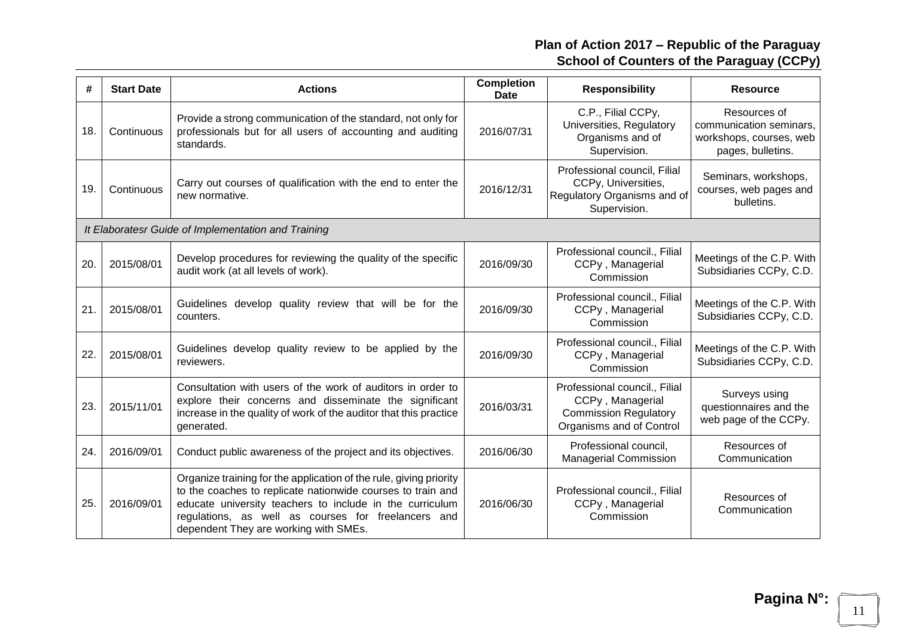| #   | <b>Start Date</b> | <b>Actions</b>                                                                                                                                                                                                                                                                                | <b>Completion</b><br><b>Date</b> | <b>Responsibility</b>                                                                                         | <b>Resource</b>                                                                         |
|-----|-------------------|-----------------------------------------------------------------------------------------------------------------------------------------------------------------------------------------------------------------------------------------------------------------------------------------------|----------------------------------|---------------------------------------------------------------------------------------------------------------|-----------------------------------------------------------------------------------------|
| 18. | Continuous        | Provide a strong communication of the standard, not only for<br>professionals but for all users of accounting and auditing<br>standards.                                                                                                                                                      | 2016/07/31                       | C.P., Filial CCPy,<br>Universities, Regulatory<br>Organisms and of<br>Supervision.                            | Resources of<br>communication seminars,<br>workshops, courses, web<br>pages, bulletins. |
| 19. | Continuous        | Carry out courses of qualification with the end to enter the<br>new normative.                                                                                                                                                                                                                | 2016/12/31                       | Professional council, Filial<br>CCPy, Universities,<br>Regulatory Organisms and of<br>Supervision.            | Seminars, workshops,<br>courses, web pages and<br>bulletins.                            |
|     |                   | It Elaboratesr Guide of Implementation and Training                                                                                                                                                                                                                                           |                                  |                                                                                                               |                                                                                         |
| 20. | 2015/08/01        | Develop procedures for reviewing the quality of the specific<br>audit work (at all levels of work).                                                                                                                                                                                           | 2016/09/30                       | Professional council., Filial<br>CCPy, Managerial<br>Commission                                               | Meetings of the C.P. With<br>Subsidiaries CCPy, C.D.                                    |
| 21. | 2015/08/01        | Guidelines develop quality review that will be for the<br>counters.                                                                                                                                                                                                                           | 2016/09/30                       | Professional council., Filial<br>CCPy, Managerial<br>Commission                                               | Meetings of the C.P. With<br>Subsidiaries CCPy, C.D.                                    |
| 22. | 2015/08/01        | Guidelines develop quality review to be applied by the<br>reviewers.                                                                                                                                                                                                                          | 2016/09/30                       | Professional council., Filial<br>CCPy, Managerial<br>Commission                                               | Meetings of the C.P. With<br>Subsidiaries CCPy, C.D.                                    |
| 23. | 2015/11/01        | Consultation with users of the work of auditors in order to<br>explore their concerns and disseminate the significant<br>increase in the quality of work of the auditor that this practice<br>generated.                                                                                      | 2016/03/31                       | Professional council., Filial<br>CCPy, Managerial<br><b>Commission Regulatory</b><br>Organisms and of Control | Surveys using<br>questionnaires and the<br>web page of the CCPy.                        |
| 24. | 2016/09/01        | Conduct public awareness of the project and its objectives.                                                                                                                                                                                                                                   | 2016/06/30                       | Professional council,<br><b>Managerial Commission</b>                                                         | Resources of<br>Communication                                                           |
| 25. | 2016/09/01        | Organize training for the application of the rule, giving priority<br>to the coaches to replicate nationwide courses to train and<br>educate university teachers to include in the curriculum<br>regulations, as well as courses for freelancers and<br>dependent They are working with SMEs. | 2016/06/30                       | Professional council., Filial<br>CCPy, Managerial<br>Commission                                               | Resources of<br>Communication                                                           |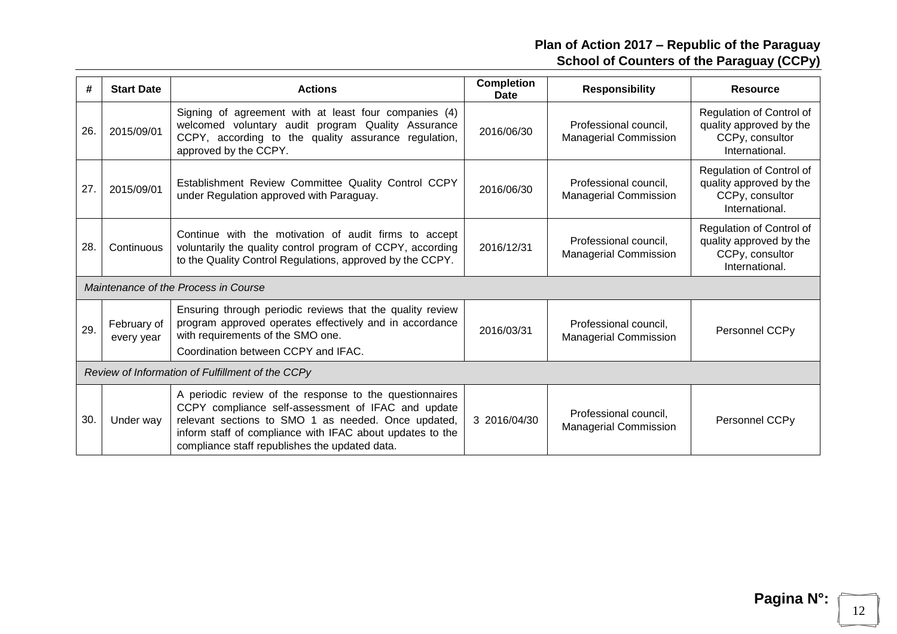| #   | <b>Start Date</b>                                | <b>Actions</b>                                                                                                                                                                                                                                                                      | <b>Completion</b><br><b>Date</b> | <b>Responsibility</b>                                 | <b>Resource</b>                                                                          |  |
|-----|--------------------------------------------------|-------------------------------------------------------------------------------------------------------------------------------------------------------------------------------------------------------------------------------------------------------------------------------------|----------------------------------|-------------------------------------------------------|------------------------------------------------------------------------------------------|--|
| 26. | 2015/09/01                                       | Signing of agreement with at least four companies (4)<br>welcomed voluntary audit program Quality Assurance<br>CCPY, according to the quality assurance regulation,<br>approved by the CCPY.                                                                                        | 2016/06/30                       | Professional council,<br><b>Managerial Commission</b> | Regulation of Control of<br>quality approved by the<br>CCPy, consultor<br>International. |  |
| 27. | 2015/09/01                                       | Establishment Review Committee Quality Control CCPY<br>under Regulation approved with Paraguay.                                                                                                                                                                                     | 2016/06/30                       | Professional council,<br><b>Managerial Commission</b> | Regulation of Control of<br>quality approved by the<br>CCPy, consultor<br>International. |  |
| 28. | Continuous                                       | Continue with the motivation of audit firms to accept<br>voluntarily the quality control program of CCPY, according<br>to the Quality Control Regulations, approved by the CCPY.                                                                                                    | 2016/12/31                       | Professional council,<br><b>Managerial Commission</b> | Regulation of Control of<br>quality approved by the<br>CCPy, consultor<br>International. |  |
|     |                                                  | Maintenance of the Process in Course                                                                                                                                                                                                                                                |                                  |                                                       |                                                                                          |  |
| 29. | February of<br>every year                        | Ensuring through periodic reviews that the quality review<br>program approved operates effectively and in accordance<br>with requirements of the SMO one.<br>Coordination between CCPY and IFAC.                                                                                    | 2016/03/31                       | Professional council,<br><b>Managerial Commission</b> | Personnel CCP <sub>V</sub>                                                               |  |
|     | Review of Information of Fulfillment of the CCPy |                                                                                                                                                                                                                                                                                     |                                  |                                                       |                                                                                          |  |
| 30. | Under way                                        | A periodic review of the response to the questionnaires<br>CCPY compliance self-assessment of IFAC and update<br>relevant sections to SMO 1 as needed. Once updated,<br>inform staff of compliance with IFAC about updates to the<br>compliance staff republishes the updated data. | 3 2016/04/30                     | Professional council,<br><b>Managerial Commission</b> | Personnel CCP <sub>V</sub>                                                               |  |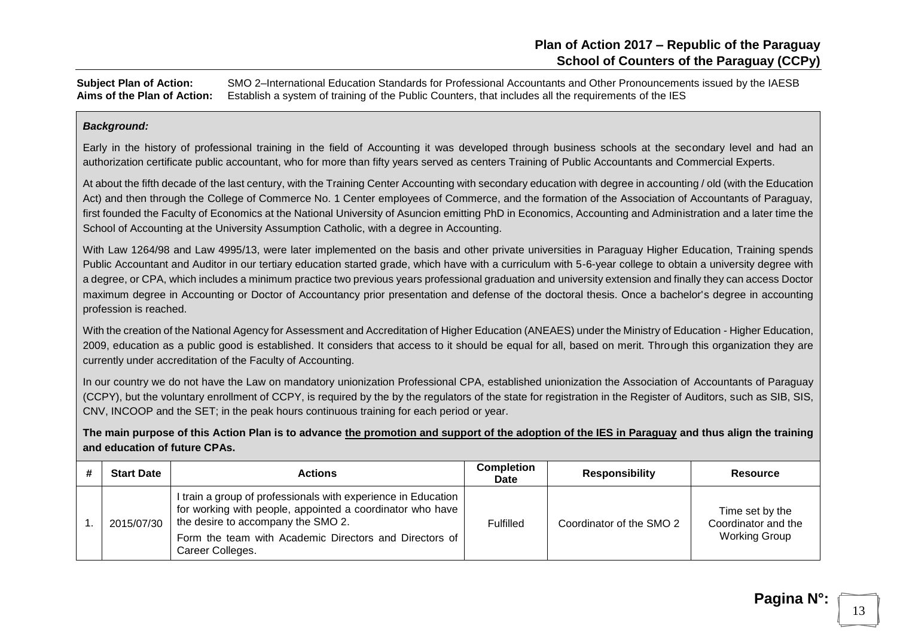**Subject Plan of Action:** SMO 2–International Education Standards for Professional Accountants and Other Pronouncements issued by the IAESB **Aims of the Plan of Action:** Establish a system of training of the Public Counters, that includes all the requirements of the IES

#### *Background:*

Early in the history of professional training in the field of Accounting it was developed through business schools at the secondary level and had an authorization certificate public accountant, who for more than fifty years served as centers Training of Public Accountants and Commercial Experts.

At about the fifth decade of the last century, with the Training Center Accounting with secondary education with degree in accounting / old (with the Education Act) and then through the College of Commerce No. 1 Center employees of Commerce, and the formation of the Association of Accountants of Paraguay, first founded the Faculty of Economics at the National University of Asuncion emitting PhD in Economics, Accounting and Administration and a later time the School of Accounting at the University Assumption Catholic, with a degree in Accounting.

With Law 1264/98 and Law 4995/13, were later implemented on the basis and other private universities in Paraguay Higher Education, Training spends Public Accountant and Auditor in our tertiary education started grade, which have with a curriculum with 5-6-year college to obtain a university degree with a degree, or CPA, which includes a minimum practice two previous years professional graduation and university extension and finally they can access Doctor maximum degree in Accounting or Doctor of Accountancy prior presentation and defense of the doctoral thesis. Once a bachelor's degree in accounting profession is reached.

With the creation of the National Agency for Assessment and Accreditation of Higher Education (ANEAES) under the Ministry of Education - Higher Education, 2009, education as a public good is established. It considers that access to it should be equal for all, based on merit. Through this organization they are currently under accreditation of the Faculty of Accounting.

In our country we do not have the Law on mandatory unionization Professional CPA, established unionization the Association of Accountants of Paraguay (CCPY), but the voluntary enrollment of CCPY, is required by the by the regulators of the state for registration in the Register of Auditors, such as SIB, SIS, CNV, INCOOP and the SET; in the peak hours continuous training for each period or year.

**The main purpose of this Action Plan is to advance the promotion and support of the adoption of the IES in Paraguay and thus align the training and education of future CPAs.**

| <b>Start Date</b> | Actions                                                                                                                                                                                                                                        | <b>Completion</b><br><b>Date</b> | <b>Responsibility</b>    | <b>Resource</b>                                                |
|-------------------|------------------------------------------------------------------------------------------------------------------------------------------------------------------------------------------------------------------------------------------------|----------------------------------|--------------------------|----------------------------------------------------------------|
| 2015/07/30        | I train a group of professionals with experience in Education<br>for working with people, appointed a coordinator who have<br>the desire to accompany the SMO 2.<br>Form the team with Academic Directors and Directors of<br>Career Colleges. | Fulfilled                        | Coordinator of the SMO 2 | Time set by the<br>Coordinator and the<br><b>Working Group</b> |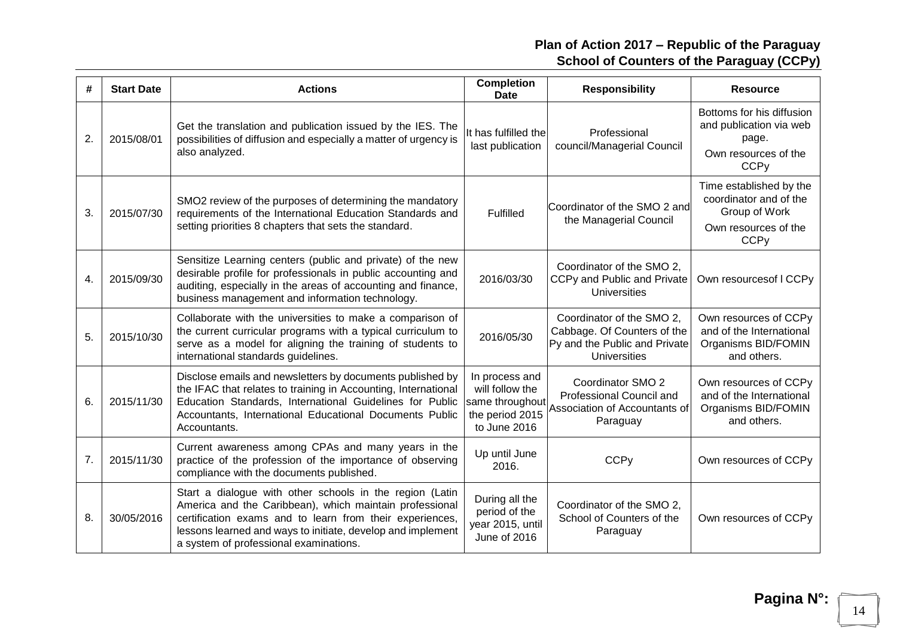| #  | <b>Start Date</b> | <b>Actions</b>                                                                                                                                                                                                                                                                           | <b>Completion</b><br><b>Date</b>                                                        | <b>Responsibility</b>                                                                                     | <b>Resource</b>                                                                                                      |
|----|-------------------|------------------------------------------------------------------------------------------------------------------------------------------------------------------------------------------------------------------------------------------------------------------------------------------|-----------------------------------------------------------------------------------------|-----------------------------------------------------------------------------------------------------------|----------------------------------------------------------------------------------------------------------------------|
| 2. | 2015/08/01        | Get the translation and publication issued by the IES. The<br>possibilities of diffusion and especially a matter of urgency is<br>also analyzed.                                                                                                                                         | It has fulfilled the<br>last publication                                                | Professional<br>council/Managerial Council                                                                | Bottoms for his diffusion<br>and publication via web<br>page.<br>Own resources of the<br><b>CCP<sub>V</sub></b>      |
| 3. | 2015/07/30        | SMO2 review of the purposes of determining the mandatory<br>requirements of the International Education Standards and<br>setting priorities 8 chapters that sets the standard.                                                                                                           | Fulfilled                                                                               | Coordinator of the SMO 2 and<br>the Managerial Council                                                    | Time established by the<br>coordinator and of the<br>Group of Work<br>Own resources of the<br><b>CCP<sub>V</sub></b> |
| 4. | 2015/09/30        | Sensitize Learning centers (public and private) of the new<br>desirable profile for professionals in public accounting and<br>auditing, especially in the areas of accounting and finance,<br>business management and information technology.                                            | 2016/03/30                                                                              | Coordinator of the SMO 2,<br>CCPy and Public and Private<br><b>Universities</b>                           | Own resources of I CCPy                                                                                              |
| 5. | 2015/10/30        | Collaborate with the universities to make a comparison of<br>the current curricular programs with a typical curriculum to<br>serve as a model for aligning the training of students to<br>international standards guidelines.                                                            | 2016/05/30                                                                              | Coordinator of the SMO 2,<br>Cabbage. Of Counters of the<br>Py and the Public and Private<br>Universities | Own resources of CCPy<br>and of the International<br>Organisms BID/FOMIN<br>and others.                              |
| 6. | 2015/11/30        | Disclose emails and newsletters by documents published by<br>the IFAC that relates to training in Accounting, International<br>Education Standards, International Guidelines for Public<br>Accountants, International Educational Documents Public<br>Accountants.                       | In process and<br>will follow the<br>same throughout<br>the period 2015<br>to June 2016 | Coordinator SMO 2<br>Professional Council and<br>Association of Accountants of<br>Paraguay                | Own resources of CCPy<br>and of the International<br>Organisms BID/FOMIN<br>and others.                              |
| 7. | 2015/11/30        | Current awareness among CPAs and many years in the<br>practice of the profession of the importance of observing<br>compliance with the documents published.                                                                                                                              | Up until June<br>2016.                                                                  | <b>CCPy</b>                                                                                               | Own resources of CCPy                                                                                                |
| 8. | 30/05/2016        | Start a dialogue with other schools in the region (Latin<br>America and the Caribbean), which maintain professional<br>certification exams and to learn from their experiences,<br>lessons learned and ways to initiate, develop and implement<br>a system of professional examinations. | During all the<br>period of the<br>year 2015, until<br>June of 2016                     | Coordinator of the SMO 2,<br>School of Counters of the<br>Paraguay                                        | Own resources of CCPy                                                                                                |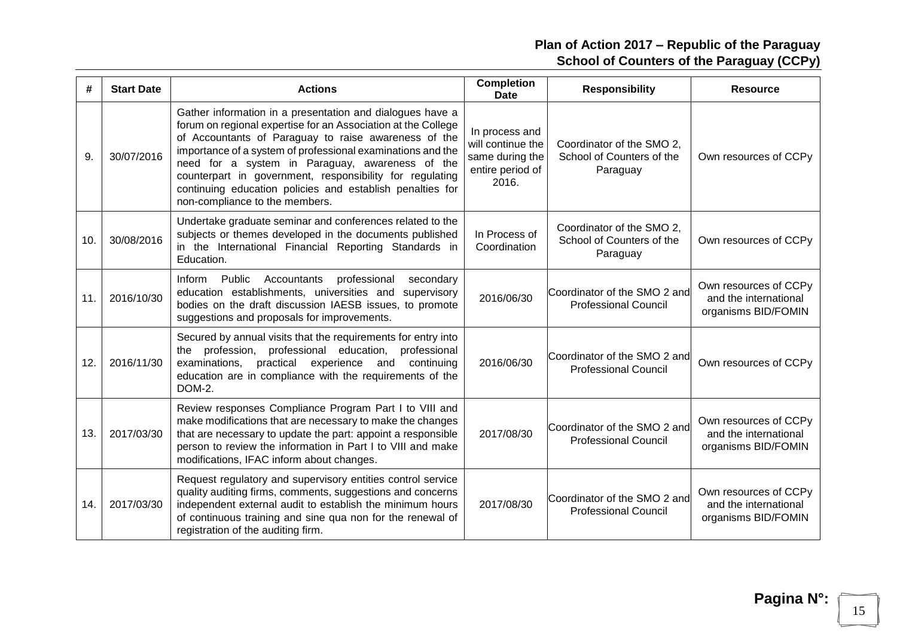| #   | <b>Start Date</b> | <b>Actions</b>                                                                                                                                                                                                                                                                                                                                                                                                                                                  | <b>Completion</b><br><b>Date</b>                                                    | <b>Responsibility</b>                                              | <b>Resource</b>                                                       |
|-----|-------------------|-----------------------------------------------------------------------------------------------------------------------------------------------------------------------------------------------------------------------------------------------------------------------------------------------------------------------------------------------------------------------------------------------------------------------------------------------------------------|-------------------------------------------------------------------------------------|--------------------------------------------------------------------|-----------------------------------------------------------------------|
| 9.  | 30/07/2016        | Gather information in a presentation and dialogues have a<br>forum on regional expertise for an Association at the College<br>of Accountants of Paraguay to raise awareness of the<br>importance of a system of professional examinations and the<br>need for a system in Paraguay, awareness of the<br>counterpart in government, responsibility for regulating<br>continuing education policies and establish penalties for<br>non-compliance to the members. | In process and<br>will continue the<br>same during the<br>entire period of<br>2016. | Coordinator of the SMO 2,<br>School of Counters of the<br>Paraguay | Own resources of CCPy                                                 |
| 10. | 30/08/2016        | Undertake graduate seminar and conferences related to the<br>subjects or themes developed in the documents published<br>in the International Financial Reporting Standards in<br>Education.                                                                                                                                                                                                                                                                     | In Process of<br>Coordination                                                       | Coordinator of the SMO 2,<br>School of Counters of the<br>Paraguay | Own resources of CCPy                                                 |
| 11. | 2016/10/30        | Inform<br>Public<br>Accountants<br>professional<br>secondary<br>education establishments, universities and supervisory<br>bodies on the draft discussion IAESB issues, to promote<br>suggestions and proposals for improvements.                                                                                                                                                                                                                                | 2016/06/30                                                                          | Coordinator of the SMO 2 and<br><b>Professional Council</b>        | Own resources of CCPy<br>and the international<br>organisms BID/FOMIN |
| 12. | 2016/11/30        | Secured by annual visits that the requirements for entry into<br>profession,<br>professional education,<br>professional<br>the<br>examinations,<br>practical<br>experience<br>and<br>continuing<br>education are in compliance with the requirements of the<br>DOM-2.                                                                                                                                                                                           | 2016/06/30                                                                          | Coordinator of the SMO 2 and<br><b>Professional Council</b>        | Own resources of CCPy                                                 |
| 13. | 2017/03/30        | Review responses Compliance Program Part I to VIII and<br>make modifications that are necessary to make the changes<br>that are necessary to update the part: appoint a responsible<br>person to review the information in Part I to VIII and make<br>modifications, IFAC inform about changes.                                                                                                                                                                 | 2017/08/30                                                                          | Coordinator of the SMO 2 and<br><b>Professional Council</b>        | Own resources of CCPy<br>and the international<br>organisms BID/FOMIN |
| 14. | 2017/03/30        | Request regulatory and supervisory entities control service<br>quality auditing firms, comments, suggestions and concerns<br>independent external audit to establish the minimum hours<br>of continuous training and sine qua non for the renewal of<br>registration of the auditing firm.                                                                                                                                                                      | 2017/08/30                                                                          | Coordinator of the SMO 2 and<br><b>Professional Council</b>        | Own resources of CCPy<br>and the international<br>organisms BID/FOMIN |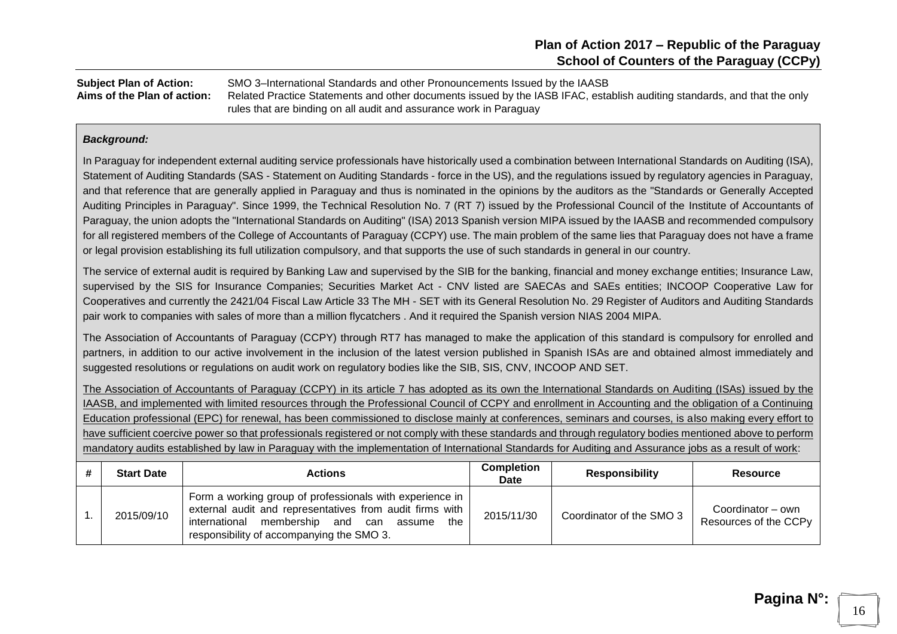**Subject Plan of Action:** SMO 3–International Standards and other Pronouncements Issued by the IAASB **Aims of the Plan of action:** Related Practice Statements and other documents issued by the IASB IFAC, establish auditing standards, and that the only rules that are binding on all audit and assurance work in Paraguay

#### *Background:*

In Paraguay for independent external auditing service professionals have historically used a combination between International Standards on Auditing (ISA), Statement of Auditing Standards (SAS - Statement on Auditing Standards - force in the US), and the regulations issued by regulatory agencies in Paraguay, and that reference that are generally applied in Paraguay and thus is nominated in the opinions by the auditors as the "Standards or Generally Accepted Auditing Principles in Paraguay". Since 1999, the Technical Resolution No. 7 (RT 7) issued by the Professional Council of the Institute of Accountants of Paraguay, the union adopts the "International Standards on Auditing" (ISA) 2013 Spanish version MIPA issued by the IAASB and recommended compulsory for all registered members of the College of Accountants of Paraguay (CCPY) use. The main problem of the same lies that Paraguay does not have a frame or legal provision establishing its full utilization compulsory, and that supports the use of such standards in general in our country.

The service of external audit is required by Banking Law and supervised by the SIB for the banking, financial and money exchange entities; Insurance Law, supervised by the SIS for Insurance Companies; Securities Market Act - CNV listed are SAECAs and SAEs entities; INCOOP Cooperative Law for Cooperatives and currently the 2421/04 Fiscal Law Article 33 The MH - SET with its General Resolution No. 29 Register of Auditors and Auditing Standards pair work to companies with sales of more than a million flycatchers . And it required the Spanish version NIAS 2004 MIPA.

The Association of Accountants of Paraguay (CCPY) through RT7 has managed to make the application of this standard is compulsory for enrolled and partners, in addition to our active involvement in the inclusion of the latest version published in Spanish ISAs are and obtained almost immediately and suggested resolutions or regulations on audit work on regulatory bodies like the SIB, SIS, CNV, INCOOP AND SET.

The Association of Accountants of Paraguay (CCPY) in its article 7 has adopted as its own the International Standards on Auditing (ISAs) issued by the IAASB, and implemented with limited resources through the Professional Council of CCPY and enrollment in Accounting and the obligation of a Continuing Education professional (EPC) for renewal, has been commissioned to disclose mainly at conferences, seminars and courses, is also making every effort to have sufficient coercive power so that professionals registered or not comply with these standards and through regulatory bodies mentioned above to perform mandatory audits established by law in Paraguay with the implementation of International Standards for Auditing and Assurance jobs as a result of work:

| <b>Start Date</b> | <b>Actions</b>                                                                                                                                                                                                            | <b>Completion</b><br>Date | <b>Responsibility</b>    | <b>Resource</b>                            |
|-------------------|---------------------------------------------------------------------------------------------------------------------------------------------------------------------------------------------------------------------------|---------------------------|--------------------------|--------------------------------------------|
| 2015/09/10        | Form a working group of professionals with experience in<br>external audit and representatives from audit firms with<br>membership and can<br>the<br>international<br>assume<br>responsibility of accompanying the SMO 3. | 2015/11/30                | Coordinator of the SMO 3 | Coordinator – own<br>Resources of the CCPy |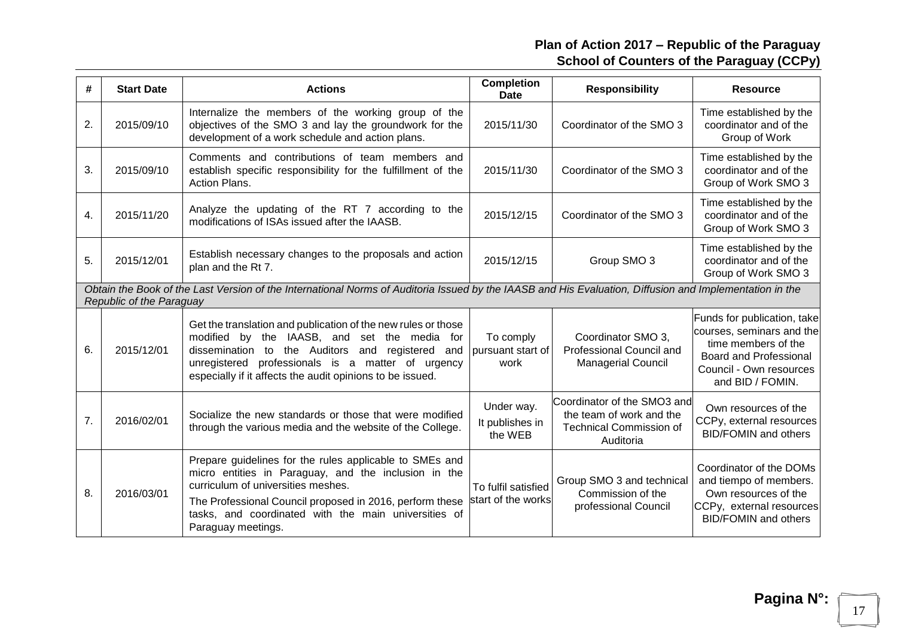| #  | <b>Start Date</b>        | <b>Actions</b>                                                                                                                                                                                                                                                                                  | <b>Completion</b><br>Date                 | <b>Responsibility</b>                                                                                  | <b>Resource</b>                                                                                                                                                 |
|----|--------------------------|-------------------------------------------------------------------------------------------------------------------------------------------------------------------------------------------------------------------------------------------------------------------------------------------------|-------------------------------------------|--------------------------------------------------------------------------------------------------------|-----------------------------------------------------------------------------------------------------------------------------------------------------------------|
| 2. | 2015/09/10               | Internalize the members of the working group of the<br>objectives of the SMO 3 and lay the groundwork for the<br>development of a work schedule and action plans.                                                                                                                               | 2015/11/30                                | Coordinator of the SMO 3                                                                               | Time established by the<br>coordinator and of the<br>Group of Work                                                                                              |
| 3. | 2015/09/10               | Comments and contributions of team members and<br>establish specific responsibility for the fulfillment of the<br>Action Plans.                                                                                                                                                                 | 2015/11/30                                | Coordinator of the SMO 3                                                                               | Time established by the<br>coordinator and of the<br>Group of Work SMO 3                                                                                        |
| 4. | 2015/11/20               | Analyze the updating of the RT 7 according to the<br>modifications of ISAs issued after the IAASB.                                                                                                                                                                                              | 2015/12/15                                | Coordinator of the SMO 3                                                                               | Time established by the<br>coordinator and of the<br>Group of Work SMO 3                                                                                        |
| 5. | 2015/12/01               | Establish necessary changes to the proposals and action<br>plan and the Rt 7.                                                                                                                                                                                                                   | 2015/12/15                                | Group SMO 3                                                                                            | Time established by the<br>coordinator and of the<br>Group of Work SMO 3                                                                                        |
|    | Republic of the Paraguay | Obtain the Book of the Last Version of the International Norms of Auditoria Issued by the IAASB and His Evaluation, Diffusion and Implementation in the                                                                                                                                         |                                           |                                                                                                        |                                                                                                                                                                 |
| 6. | 2015/12/01               | Get the translation and publication of the new rules or those<br>modified by the IAASB, and set the media for<br>dissemination to the Auditors and registered<br>and<br>unregistered professionals is a matter of urgency<br>especially if it affects the audit opinions to be issued.          | To comply<br>pursuant start of<br>work    | Coordinator SMO 3,<br>Professional Council and<br><b>Managerial Council</b>                            | Funds for publication, take<br>courses, seminars and the<br>time members of the<br><b>Board and Professional</b><br>Council - Own resources<br>and BID / FOMIN. |
| 7. | 2016/02/01               | Socialize the new standards or those that were modified<br>through the various media and the website of the College.                                                                                                                                                                            | Under way.<br>It publishes in<br>the WEB  | Coordinator of the SMO3 and<br>the team of work and the<br><b>Technical Commission of</b><br>Auditoria | Own resources of the<br>CCPy, external resources<br><b>BID/FOMIN</b> and others                                                                                 |
| 8. | 2016/03/01               | Prepare guidelines for the rules applicable to SMEs and<br>micro entities in Paraguay, and the inclusion in the<br>curriculum of universities meshes.<br>The Professional Council proposed in 2016, perform these<br>tasks, and coordinated with the main universities of<br>Paraguay meetings. | To fulfil satisfied<br>start of the works | Group SMO 3 and technical<br>Commission of the<br>professional Council                                 | Coordinator of the DOMs<br>and tiempo of members.<br>Own resources of the<br>CCPy, external resources<br><b>BID/FOMIN</b> and others                            |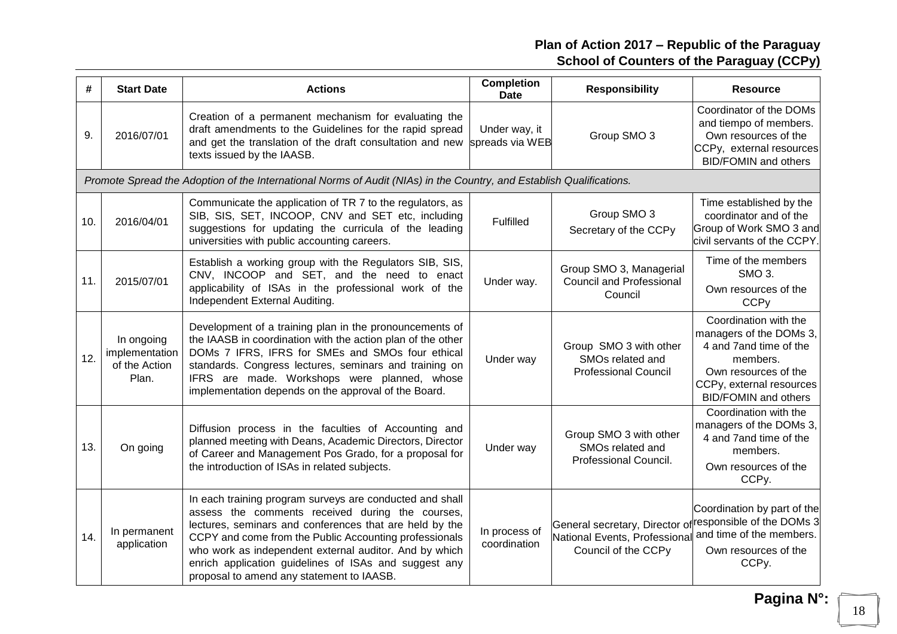| #   | <b>Start Date</b>                                      | <b>Actions</b>                                                                                                                                                                                                                                                                                                                                                                                    | <b>Completion</b><br><b>Date</b> | <b>Responsibility</b>                                                                                                         | <b>Resource</b>                                                                                                                                                            |
|-----|--------------------------------------------------------|---------------------------------------------------------------------------------------------------------------------------------------------------------------------------------------------------------------------------------------------------------------------------------------------------------------------------------------------------------------------------------------------------|----------------------------------|-------------------------------------------------------------------------------------------------------------------------------|----------------------------------------------------------------------------------------------------------------------------------------------------------------------------|
| 9.  | 2016/07/01                                             | Creation of a permanent mechanism for evaluating the<br>draft amendments to the Guidelines for the rapid spread<br>and get the translation of the draft consultation and new<br>texts issued by the IAASB.                                                                                                                                                                                        | Under way, it<br>spreads via WEB | Group SMO 3                                                                                                                   | Coordinator of the DOMs<br>and tiempo of members.<br>Own resources of the<br>CCPy, external resources<br><b>BID/FOMIN</b> and others                                       |
|     |                                                        | Promote Spread the Adoption of the International Norms of Audit (NIAs) in the Country, and Establish Qualifications.                                                                                                                                                                                                                                                                              |                                  |                                                                                                                               |                                                                                                                                                                            |
| 10. | 2016/04/01                                             | Communicate the application of TR 7 to the regulators, as<br>SIB, SIS, SET, INCOOP, CNV and SET etc, including<br>suggestions for updating the curricula of the leading<br>universities with public accounting careers.                                                                                                                                                                           | Fulfilled                        | Group SMO 3<br>Secretary of the CCPy                                                                                          | Time established by the<br>coordinator and of the<br>Group of Work SMO 3 and<br>civil servants of the CCPY.                                                                |
| 11. | 2015/07/01                                             | Establish a working group with the Regulators SIB, SIS,<br>CNV, INCOOP and SET, and the need to enact<br>applicability of ISAs in the professional work of the<br>Independent External Auditing.                                                                                                                                                                                                  | Under way.                       | Group SMO 3, Managerial<br><b>Council and Professional</b><br>Council                                                         | Time of the members<br>SMO <sub>3</sub> .<br>Own resources of the<br><b>CCP<sub>V</sub></b>                                                                                |
| 12. | In ongoing<br>implementation<br>of the Action<br>Plan. | Development of a training plan in the pronouncements of<br>the IAASB in coordination with the action plan of the other<br>DOMs 7 IFRS, IFRS for SMEs and SMOs four ethical<br>standards. Congress lectures, seminars and training on<br>IFRS are made. Workshops were planned, whose<br>implementation depends on the approval of the Board.                                                      | Under way                        | Group SMO 3 with other<br>SMOs related and<br><b>Professional Council</b>                                                     | Coordination with the<br>managers of the DOMs 3,<br>4 and 7 and time of the<br>members.<br>Own resources of the<br>CCPy, external resources<br><b>BID/FOMIN</b> and others |
| 13. | On going                                               | Diffusion process in the faculties of Accounting and<br>planned meeting with Deans, Academic Directors, Director<br>of Career and Management Pos Grado, for a proposal for<br>the introduction of ISAs in related subjects.                                                                                                                                                                       | Under way                        | Group SMO 3 with other<br>SMOs related and<br>Professional Council.                                                           | Coordination with the<br>managers of the DOMs 3,<br>4 and 7 and time of the<br>members.<br>Own resources of the<br>CCPy.                                                   |
| 14. | In permanent<br>application                            | In each training program surveys are conducted and shall<br>assess the comments received during the courses,<br>lectures, seminars and conferences that are held by the<br>CCPY and come from the Public Accounting professionals<br>who work as independent external auditor. And by which<br>enrich application guidelines of ISAs and suggest any<br>proposal to amend any statement to IAASB. | In process of<br>coordination    | General secretary, Director of <sup> responsible of the DOMs 3 </sup><br>National Events, Professional<br>Council of the CCPy | Coordination by part of the<br>and time of the members.<br>Own resources of the<br>CCPy.                                                                                   |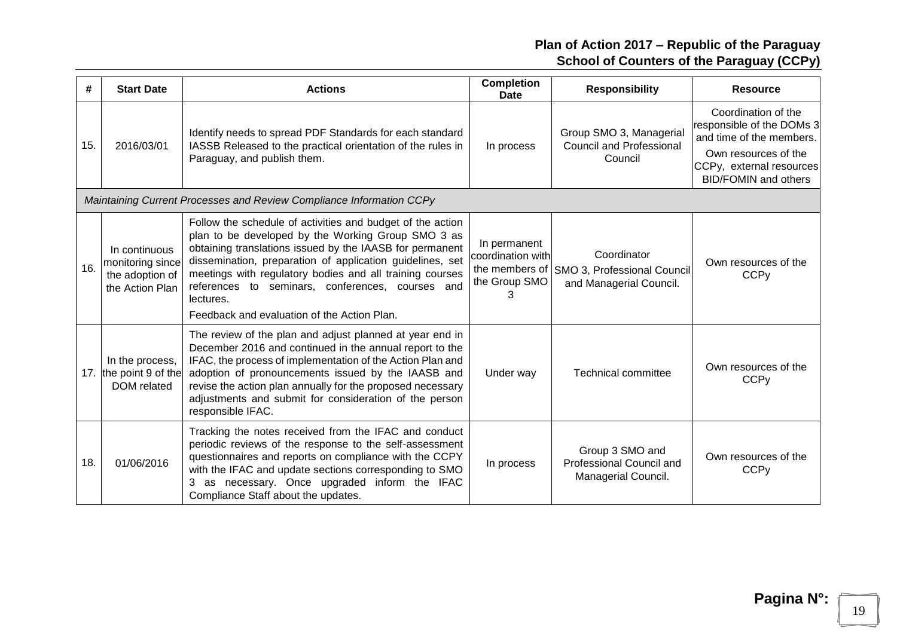| #   | <b>Start Date</b>                                                       | <b>Actions</b>                                                                                                                                                                                                                                                                                                                                                                                                        | <b>Completion</b><br><b>Date</b>                   | <b>Responsibility</b>                                                                | <b>Resource</b>                                                                                                                                                 |
|-----|-------------------------------------------------------------------------|-----------------------------------------------------------------------------------------------------------------------------------------------------------------------------------------------------------------------------------------------------------------------------------------------------------------------------------------------------------------------------------------------------------------------|----------------------------------------------------|--------------------------------------------------------------------------------------|-----------------------------------------------------------------------------------------------------------------------------------------------------------------|
| 15. | 2016/03/01                                                              | Identify needs to spread PDF Standards for each standard<br>IASSB Released to the practical orientation of the rules in<br>Paraguay, and publish them.                                                                                                                                                                                                                                                                | In process                                         | Group SMO 3, Managerial<br><b>Council and Professional</b><br>Council                | Coordination of the<br>responsible of the DOMs 3<br>and time of the members.<br>Own resources of the<br>CCPy, external resources<br><b>BID/FOMIN and others</b> |
|     |                                                                         | Maintaining Current Processes and Review Compliance Information CCPy                                                                                                                                                                                                                                                                                                                                                  |                                                    |                                                                                      |                                                                                                                                                                 |
| 16. | In continuous<br>monitoring since<br>the adoption of<br>the Action Plan | Follow the schedule of activities and budget of the action<br>plan to be developed by the Working Group SMO 3 as<br>obtaining translations issued by the IAASB for permanent<br>dissemination, preparation of application guidelines, set<br>meetings with regulatory bodies and all training courses<br>references to seminars, conferences, courses and<br>lectures.<br>Feedback and evaluation of the Action Plan. | In permanent<br>coordination with<br>the Group SMO | Coordinator<br>the members of SMO 3, Professional Council<br>and Managerial Council. | Own resources of the<br><b>CCP<sub>V</sub></b>                                                                                                                  |
|     | In the process,<br>17. the point 9 of the<br>DOM related                | The review of the plan and adjust planned at year end in<br>December 2016 and continued in the annual report to the<br>IFAC, the process of implementation of the Action Plan and<br>adoption of pronouncements issued by the IAASB and<br>revise the action plan annually for the proposed necessary<br>adjustments and submit for consideration of the person<br>responsible IFAC.                                  | Under way                                          | <b>Technical committee</b>                                                           | Own resources of the<br><b>CCP<sub>V</sub></b>                                                                                                                  |
| 18. | 01/06/2016                                                              | Tracking the notes received from the IFAC and conduct<br>periodic reviews of the response to the self-assessment<br>questionnaires and reports on compliance with the CCPY<br>with the IFAC and update sections corresponding to SMO<br>3 as necessary. Once upgraded inform the IFAC<br>Compliance Staff about the updates.                                                                                          | In process                                         | Group 3 SMO and<br>Professional Council and<br>Managerial Council.                   | Own resources of the<br><b>CCP<sub>V</sub></b>                                                                                                                  |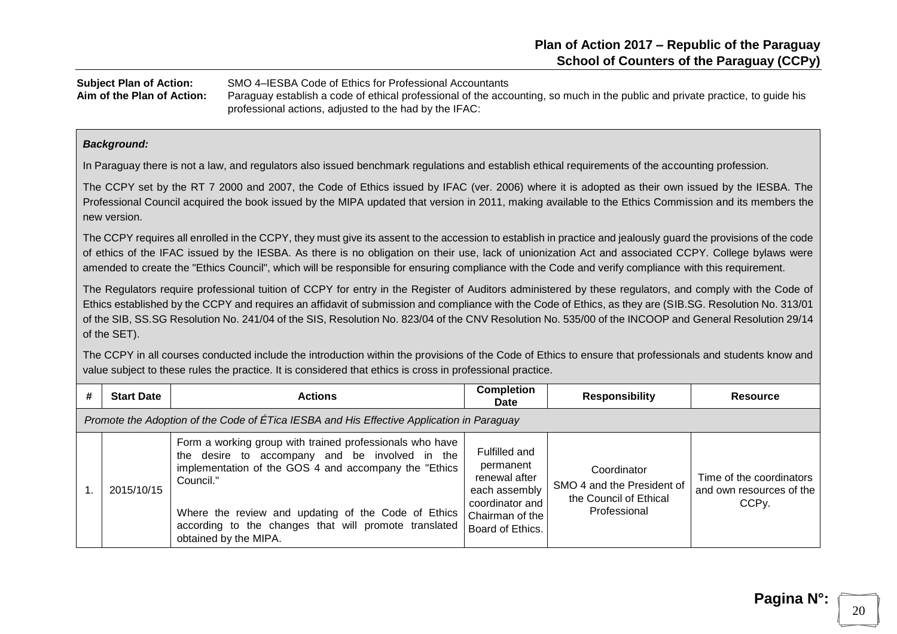**Subject Plan of Action:** SMO 4–IESBA Code of Ethics for Professional Accountants **Aim of the Plan of Action:** Paraguay establish a code of ethical professional of the accounting, so much in the public and private practice, to guide his professional actions, adjusted to the had by the IFAC:

#### *Background:*

In Paraguay there is not a law, and regulators also issued benchmark regulations and establish ethical requirements of the accounting profession.

The CCPY set by the RT 7 2000 and 2007, the Code of Ethics issued by IFAC (ver. 2006) where it is adopted as their own issued by the IESBA. The Professional Council acquired the book issued by the MIPA updated that version in 2011, making available to the Ethics Commission and its members the new version.

The CCPY requires all enrolled in the CCPY, they must give its assent to the accession to establish in practice and jealously guard the provisions of the code of ethics of the IFAC issued by the IESBA. As there is no obligation on their use, lack of unionization Act and associated CCPY. College bylaws were amended to create the "Ethics Council", which will be responsible for ensuring compliance with the Code and verify compliance with this requirement.

The Regulators require professional tuition of CCPY for entry in the Register of Auditors administered by these regulators, and comply with the Code of Ethics established by the CCPY and requires an affidavit of submission and compliance with the Code of Ethics, as they are (SIB.SG. Resolution No. 313/01 of the SIB, SS.SG Resolution No. 241/04 of the SIS, Resolution No. 823/04 of the CNV Resolution No. 535/00 of the INCOOP and General Resolution 29/14 of the SET).

The CCPY in all courses conducted include the introduction within the provisions of the Code of Ethics to ensure that professionals and students know and value subject to these rules the practice. It is considered that ethics is cross in professional practice.

| # | <b>Start Date</b>                                                                         | <b>Actions</b>                                                                                                                                                                                                                                                                                                             | <b>Completion</b><br><b>Date</b>                                                                                       | <b>Responsibility</b>                                                               | <b>Resource</b>                                                            |  |  |  |  |
|---|-------------------------------------------------------------------------------------------|----------------------------------------------------------------------------------------------------------------------------------------------------------------------------------------------------------------------------------------------------------------------------------------------------------------------------|------------------------------------------------------------------------------------------------------------------------|-------------------------------------------------------------------------------------|----------------------------------------------------------------------------|--|--|--|--|
|   | Promote the Adoption of the Code of ETica IESBA and His Effective Application in Paraguay |                                                                                                                                                                                                                                                                                                                            |                                                                                                                        |                                                                                     |                                                                            |  |  |  |  |
|   | 2015/10/15                                                                                | Form a working group with trained professionals who have<br>the desire to accompany and be involved in the<br>implementation of the GOS 4 and accompany the "Ethics"<br>Council."<br>Where the review and updating of the Code of Ethics<br>according to the changes that will promote translated<br>obtained by the MIPA. | Fulfilled and<br>permanent<br>renewal after<br>each assembly<br>coordinator and<br>Chairman of the<br>Board of Ethics. | Coordinator<br>SMO 4 and the President of<br>the Council of Ethical<br>Professional | Time of the coordinators<br>and own resources of the<br>CCP <sub>V</sub> . |  |  |  |  |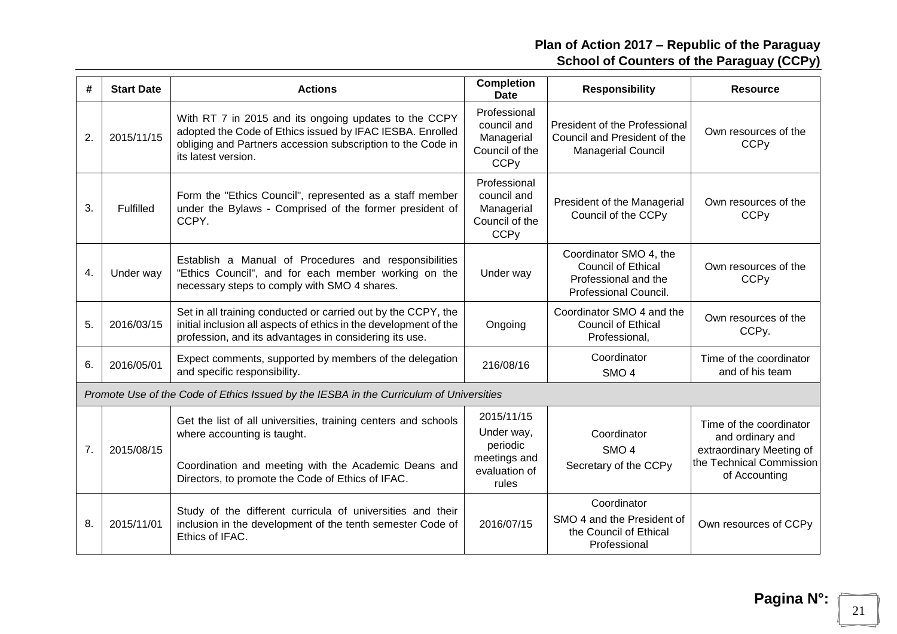| #  | <b>Start Date</b> | <b>Actions</b>                                                                                                                                                                                             | <b>Completion</b><br><b>Date</b>                                                      | <b>Responsibility</b>                                                                                | <b>Resource</b>                                                                                                      |
|----|-------------------|------------------------------------------------------------------------------------------------------------------------------------------------------------------------------------------------------------|---------------------------------------------------------------------------------------|------------------------------------------------------------------------------------------------------|----------------------------------------------------------------------------------------------------------------------|
| 2. | 2015/11/15        | With RT 7 in 2015 and its ongoing updates to the CCPY<br>adopted the Code of Ethics issued by IFAC IESBA. Enrolled<br>obliging and Partners accession subscription to the Code in<br>its latest version.   | Professional<br>council and<br>Managerial<br>Council of the<br><b>CCP<sub>V</sub></b> | President of the Professional<br>Council and President of the<br><b>Managerial Council</b>           | Own resources of the<br><b>CCP<sub>V</sub></b>                                                                       |
| 3. | Fulfilled         | Form the "Ethics Council", represented as a staff member<br>under the Bylaws - Comprised of the former president of<br>CCPY.                                                                               | Professional<br>council and<br>Managerial<br>Council of the<br><b>CCP<sub>V</sub></b> | President of the Managerial<br>Council of the CCPy                                                   | Own resources of the<br><b>CCP<sub>V</sub></b>                                                                       |
| 4. | Under way         | Establish a Manual of Procedures and responsibilities<br>"Ethics Council", and for each member working on the<br>necessary steps to comply with SMO 4 shares.                                              | Under way                                                                             | Coordinator SMO 4, the<br><b>Council of Ethical</b><br>Professional and the<br>Professional Council. | Own resources of the<br><b>CCP<sub>V</sub></b>                                                                       |
| 5. | 2016/03/15        | Set in all training conducted or carried out by the CCPY, the<br>initial inclusion all aspects of ethics in the development of the<br>profession, and its advantages in considering its use.               | Ongoing                                                                               | Coordinator SMO 4 and the<br><b>Council of Ethical</b><br>Professional,                              | Own resources of the<br>CCPy.                                                                                        |
| 6. | 2016/05/01        | Expect comments, supported by members of the delegation<br>and specific responsibility.                                                                                                                    | 216/08/16                                                                             | Coordinator<br>SMO <sub>4</sub>                                                                      | Time of the coordinator<br>and of his team                                                                           |
|    |                   | Promote Use of the Code of Ethics Issued by the IESBA in the Curriculum of Universities                                                                                                                    |                                                                                       |                                                                                                      |                                                                                                                      |
| 7. | 2015/08/15        | Get the list of all universities, training centers and schools<br>where accounting is taught.<br>Coordination and meeting with the Academic Deans and<br>Directors, to promote the Code of Ethics of IFAC. | 2015/11/15<br>Under way,<br>periodic<br>meetings and<br>evaluation of<br>rules        | Coordinator<br>SMO <sub>4</sub><br>Secretary of the CCPy                                             | Time of the coordinator<br>and ordinary and<br>extraordinary Meeting of<br>the Technical Commission<br>of Accounting |
| 8. | 2015/11/01        | Study of the different curricula of universities and their<br>inclusion in the development of the tenth semester Code of<br>Ethics of IFAC.                                                                | 2016/07/15                                                                            | Coordinator<br>SMO 4 and the President of<br>the Council of Ethical<br>Professional                  | Own resources of CCPy                                                                                                |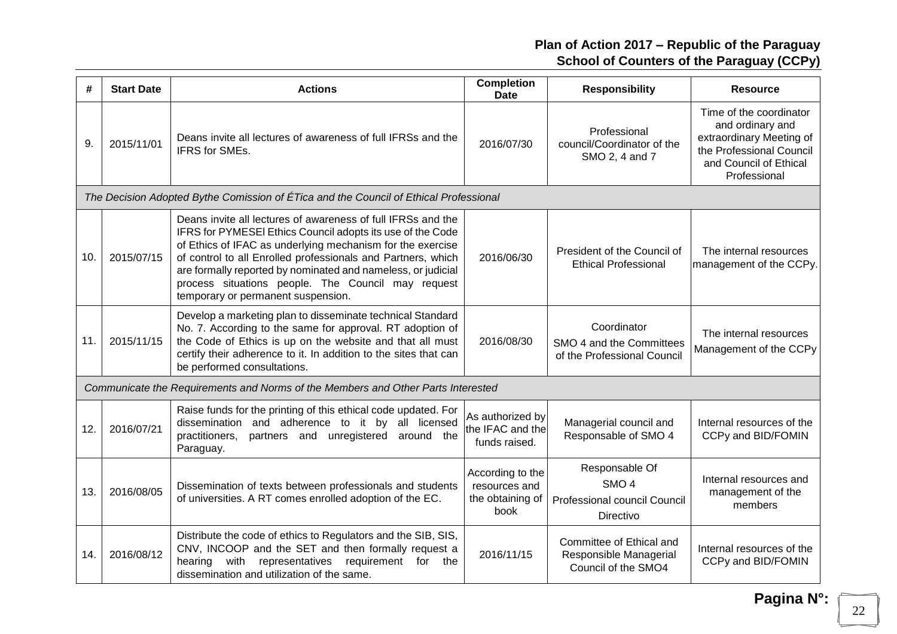| #   | <b>Start Date</b> | <b>Actions</b>                                                                                                                                                                                                                                                                                                                                                                                                       | <b>Completion</b><br><b>Date</b>                              | <b>Responsibility</b>                                                           | <b>Resource</b>                                                                                                                               |
|-----|-------------------|----------------------------------------------------------------------------------------------------------------------------------------------------------------------------------------------------------------------------------------------------------------------------------------------------------------------------------------------------------------------------------------------------------------------|---------------------------------------------------------------|---------------------------------------------------------------------------------|-----------------------------------------------------------------------------------------------------------------------------------------------|
| 9.  | 2015/11/01        | Deans invite all lectures of awareness of full IFRSs and the<br>IFRS for SMEs.                                                                                                                                                                                                                                                                                                                                       | 2016/07/30                                                    | Professional<br>council/Coordinator of the<br>SMO 2, 4 and 7                    | Time of the coordinator<br>and ordinary and<br>extraordinary Meeting of<br>the Professional Council<br>and Council of Ethical<br>Professional |
|     |                   | The Decision Adopted Bythe Comission of ÉTica and the Council of Ethical Professional                                                                                                                                                                                                                                                                                                                                |                                                               |                                                                                 |                                                                                                                                               |
| 10. | 2015/07/15        | Deans invite all lectures of awareness of full IFRSs and the<br>IFRS for PYMESEI Ethics Council adopts its use of the Code<br>of Ethics of IFAC as underlying mechanism for the exercise<br>of control to all Enrolled professionals and Partners, which<br>are formally reported by nominated and nameless, or judicial<br>process situations people. The Council may request<br>temporary or permanent suspension. | 2016/06/30                                                    | President of the Council of<br><b>Ethical Professional</b>                      | The internal resources<br>management of the CCPy.                                                                                             |
| 11. | 2015/11/15        | Develop a marketing plan to disseminate technical Standard<br>No. 7. According to the same for approval. RT adoption of<br>the Code of Ethics is up on the website and that all must<br>certify their adherence to it. In addition to the sites that can<br>be performed consultations.                                                                                                                              | 2016/08/30                                                    | Coordinator<br>SMO 4 and the Committees<br>of the Professional Council          | The internal resources<br>Management of the CCPy                                                                                              |
|     |                   | Communicate the Requirements and Norms of the Members and Other Parts Interested                                                                                                                                                                                                                                                                                                                                     |                                                               |                                                                                 |                                                                                                                                               |
| 12. | 2016/07/21        | Raise funds for the printing of this ethical code updated. For<br>dissemination and adherence to it by all licensed<br>partners and unregistered<br>practitioners,<br>around the<br>Paraguay.                                                                                                                                                                                                                        | As authorized by<br>the IFAC and the<br>funds raised.         | Managerial council and<br>Responsable of SMO 4                                  | Internal resources of the<br>CCPy and BID/FOMIN                                                                                               |
| 13. | 2016/08/05        | Dissemination of texts between professionals and students<br>of universities. A RT comes enrolled adoption of the EC.                                                                                                                                                                                                                                                                                                | According to the<br>resources and<br>the obtaining of<br>book | Responsable Of<br>SMO <sub>4</sub><br>Professional council Council<br>Directivo | Internal resources and<br>management of the<br>members                                                                                        |
| 14. | 2016/08/12        | Distribute the code of ethics to Regulators and the SIB, SIS,<br>CNV, INCOOP and the SET and then formally request a<br>hearing with<br>representatives requirement<br>for<br>the<br>dissemination and utilization of the same.                                                                                                                                                                                      | 2016/11/15                                                    | Committee of Ethical and<br>Responsible Managerial<br>Council of the SMO4       | Internal resources of the<br>CCPy and BID/FOMIN                                                                                               |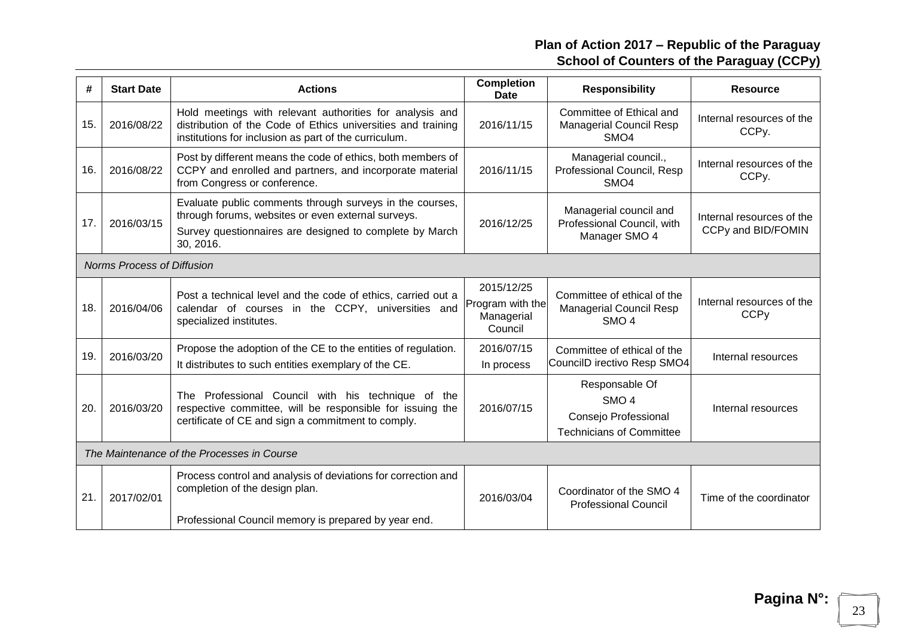| #   | <b>Start Date</b>          | <b>Actions</b>                                                                                                                                                                         | <b>Completion</b><br>Date                               | <b>Responsibility</b>                                                                         | <b>Resource</b>                                 |
|-----|----------------------------|----------------------------------------------------------------------------------------------------------------------------------------------------------------------------------------|---------------------------------------------------------|-----------------------------------------------------------------------------------------------|-------------------------------------------------|
| 15. | 2016/08/22                 | Hold meetings with relevant authorities for analysis and<br>distribution of the Code of Ethics universities and training<br>institutions for inclusion as part of the curriculum.      | 2016/11/15                                              | Committee of Ethical and<br><b>Managerial Council Resp</b><br>SMO <sub>4</sub>                | Internal resources of the<br>CCPy.              |
| 16. | 2016/08/22                 | Post by different means the code of ethics, both members of<br>CCPY and enrolled and partners, and incorporate material<br>from Congress or conference.                                | 2016/11/15                                              | Managerial council.,<br>Professional Council, Resp<br>SMO <sub>4</sub>                        | Internal resources of the<br>CCPy.              |
| 17. | 2016/03/15                 | Evaluate public comments through surveys in the courses,<br>through forums, websites or even external surveys.<br>Survey questionnaires are designed to complete by March<br>30, 2016. | 2016/12/25                                              | Managerial council and<br>Professional Council, with<br>Manager SMO 4                         | Internal resources of the<br>CCPy and BID/FOMIN |
|     | Norms Process of Diffusion |                                                                                                                                                                                        |                                                         |                                                                                               |                                                 |
| 18. | 2016/04/06                 | Post a technical level and the code of ethics, carried out a<br>calendar of courses in the CCPY, universities and<br>specialized institutes.                                           | 2015/12/25<br>Program with the<br>Managerial<br>Council | Committee of ethical of the<br><b>Managerial Council Resp</b><br>SMO <sub>4</sub>             | Internal resources of the<br><b>CCPy</b>        |
| 19. | 2016/03/20                 | Propose the adoption of the CE to the entities of regulation.<br>It distributes to such entities exemplary of the CE.                                                                  | 2016/07/15<br>In process                                | Committee of ethical of the<br>CouncilD irectivo Resp SMO4                                    | Internal resources                              |
| 20. | 2016/03/20                 | The Professional Council with his technique of the<br>respective committee, will be responsible for issuing the<br>certificate of CE and sign a commitment to comply.                  | 2016/07/15                                              | Responsable Of<br>SMO <sub>4</sub><br>Consejo Professional<br><b>Technicians of Committee</b> | Internal resources                              |
|     |                            | The Maintenance of the Processes in Course                                                                                                                                             |                                                         |                                                                                               |                                                 |
| 21. | 2017/02/01                 | Process control and analysis of deviations for correction and<br>completion of the design plan.                                                                                        | 2016/03/04                                              | Coordinator of the SMO 4<br><b>Professional Council</b>                                       | Time of the coordinator                         |
|     |                            | Professional Council memory is prepared by year end.                                                                                                                                   |                                                         |                                                                                               |                                                 |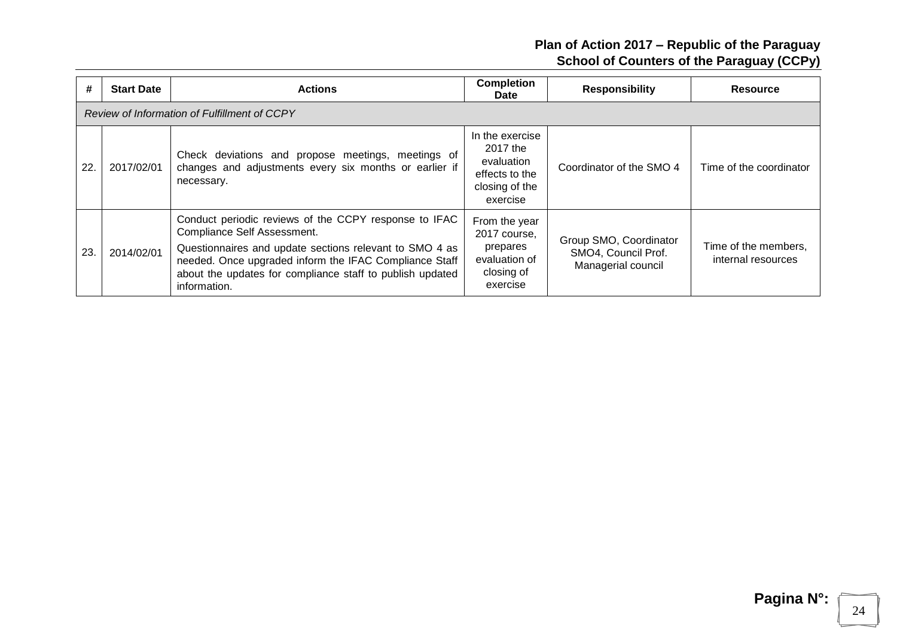| #   | <b>Start Date</b> | <b>Actions</b>                                                                                                                                                                                                                                                                         | <b>Completion</b><br><b>Date</b>                                                          | <b>Responsibility</b>                                               | <b>Resource</b>                            |
|-----|-------------------|----------------------------------------------------------------------------------------------------------------------------------------------------------------------------------------------------------------------------------------------------------------------------------------|-------------------------------------------------------------------------------------------|---------------------------------------------------------------------|--------------------------------------------|
|     |                   | Review of Information of Fulfillment of CCPY                                                                                                                                                                                                                                           |                                                                                           |                                                                     |                                            |
| 22. | 2017/02/01        | Check deviations and propose meetings, meetings of<br>changes and adjustments every six months or earlier if<br>necessary.                                                                                                                                                             | In the exercise<br>2017 the<br>evaluation<br>effects to the<br>closing of the<br>exercise | Coordinator of the SMO 4                                            | Time of the coordinator                    |
| 23. | 2014/02/01        | Conduct periodic reviews of the CCPY response to IFAC<br>Compliance Self Assessment.<br>Questionnaires and update sections relevant to SMO 4 as<br>needed. Once upgraded inform the IFAC Compliance Staff<br>about the updates for compliance staff to publish updated<br>information. | From the year<br>2017 course,<br>prepares<br>evaluation of<br>closing of<br>exercise      | Group SMO, Coordinator<br>SMO4, Council Prof.<br>Managerial council | Time of the members,<br>internal resources |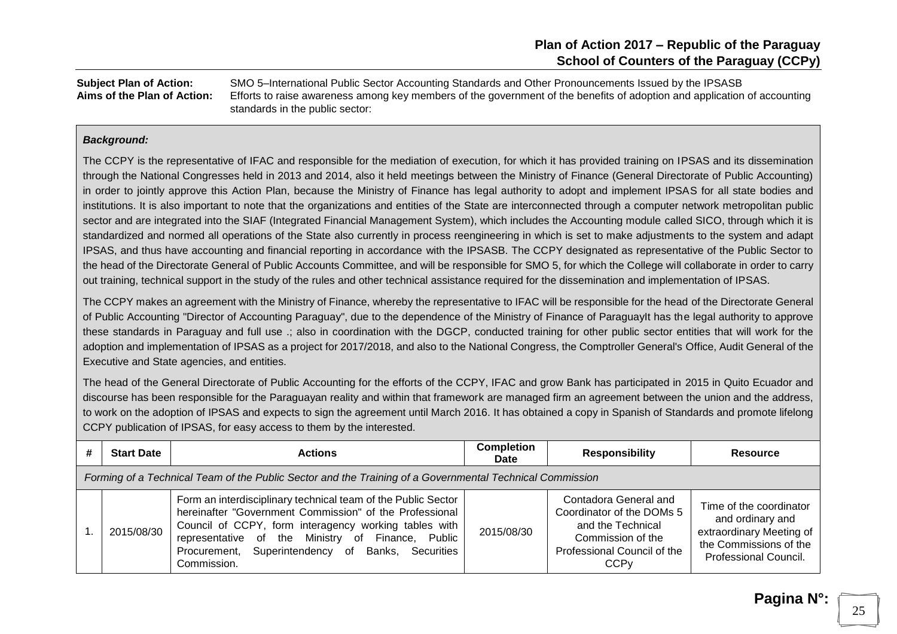**Subject Plan of Action:** SMO 5–International Public Sector Accounting Standards and Other Pronouncements Issued by the IPSASB **Aims of the Plan of Action:** Efforts to raise awareness among key members of the government of the benefits of adoption and application of accounting standards in the public sector:

#### *Background:*

The CCPY is the representative of IFAC and responsible for the mediation of execution, for which it has provided training on IPSAS and its dissemination through the National Congresses held in 2013 and 2014, also it held meetings between the Ministry of Finance (General Directorate of Public Accounting) in order to jointly approve this Action Plan, because the Ministry of Finance has legal authority to adopt and implement IPSAS for all state bodies and institutions. It is also important to note that the organizations and entities of the State are interconnected through a computer network metropolitan public sector and are integrated into the SIAF (Integrated Financial Management System), which includes the Accounting module called SICO, through which it is standardized and normed all operations of the State also currently in process reengineering in which is set to make adjustments to the system and adapt IPSAS, and thus have accounting and financial reporting in accordance with the IPSASB. The CCPY designated as representative of the Public Sector to the head of the Directorate General of Public Accounts Committee, and will be responsible for SMO 5, for which the College will collaborate in order to carry out training, technical support in the study of the rules and other technical assistance required for the dissemination and implementation of IPSAS.

The CCPY makes an agreement with the Ministry of Finance, whereby the representative to IFAC will be responsible for the head of the Directorate General of Public Accounting "Director of Accounting Paraguay", due to the dependence of the Ministry of Finance of ParaguayIt has the legal authority to approve these standards in Paraguay and full use .; also in coordination with the DGCP, conducted training for other public sector entities that will work for the adoption and implementation of IPSAS as a project for 2017/2018, and also to the National Congress, the Comptroller General's Office, Audit General of the Executive and State agencies, and entities.

The head of the General Directorate of Public Accounting for the efforts of the CCPY, IFAC and grow Bank has participated in 2015 in Quito Ecuador and discourse has been responsible for the Paraguayan reality and within that framework are managed firm an agreement between the union and the address, to work on the adoption of IPSAS and expects to sign the agreement until March 2016. It has obtained a copy in Spanish of Standards and promote lifelong CCPY publication of IPSAS, for easy access to them by the interested.

| # | <b>Start Date</b>                                                                                        | <b>Actions</b>                                                                                                                                                                                                                                                                                             | <b>Completion</b><br>Date | <b>Responsibility</b>                                                                                                                                 | <b>Resource</b>                                                                                                                   |  |  |  |  |
|---|----------------------------------------------------------------------------------------------------------|------------------------------------------------------------------------------------------------------------------------------------------------------------------------------------------------------------------------------------------------------------------------------------------------------------|---------------------------|-------------------------------------------------------------------------------------------------------------------------------------------------------|-----------------------------------------------------------------------------------------------------------------------------------|--|--|--|--|
|   | Forming of a Technical Team of the Public Sector and the Training of a Governmental Technical Commission |                                                                                                                                                                                                                                                                                                            |                           |                                                                                                                                                       |                                                                                                                                   |  |  |  |  |
|   | 2015/08/30                                                                                               | Form an interdisciplinary technical team of the Public Sector<br>hereinafter "Government Commission" of the Professional<br>Council of CCPY, form interagency working tables with<br>representative of the Ministry of Finance, Public<br>Procurement, Superintendency of Banks, Securities<br>Commission. | 2015/08/30                | Contadora General and<br>Coordinator of the DOMs 5<br>and the Technical<br>Commission of the<br>Professional Council of the<br><b>CCP<sub>V</sub></b> | Time of the coordinator<br>and ordinary and<br>extraordinary Meeting of<br>the Commissions of the<br><b>Professional Council.</b> |  |  |  |  |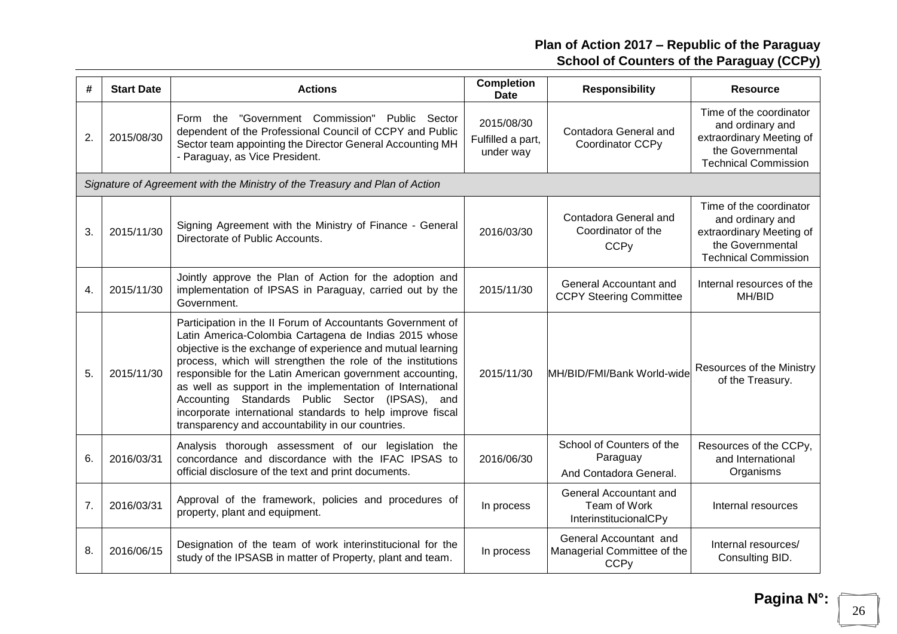| #  | <b>Start Date</b> | <b>Actions</b>                                                                                                                                                                                                                                                                                                                                                                                                                                                                                                                                       | <b>Completion</b><br>Date                    | <b>Responsibility</b>                                                | <b>Resource</b>                                                                                                            |
|----|-------------------|------------------------------------------------------------------------------------------------------------------------------------------------------------------------------------------------------------------------------------------------------------------------------------------------------------------------------------------------------------------------------------------------------------------------------------------------------------------------------------------------------------------------------------------------------|----------------------------------------------|----------------------------------------------------------------------|----------------------------------------------------------------------------------------------------------------------------|
| 2. | 2015/08/30        | "Government Commission" Public Sector<br>Form the<br>dependent of the Professional Council of CCPY and Public<br>Sector team appointing the Director General Accounting MH<br>- Paraguay, as Vice President.                                                                                                                                                                                                                                                                                                                                         | 2015/08/30<br>Fulfilled a part,<br>under way | Contadora General and<br>Coordinator CCPy                            | Time of the coordinator<br>and ordinary and<br>extraordinary Meeting of<br>the Governmental<br><b>Technical Commission</b> |
|    |                   | Signature of Agreement with the Ministry of the Treasury and Plan of Action                                                                                                                                                                                                                                                                                                                                                                                                                                                                          |                                              |                                                                      |                                                                                                                            |
| 3. | 2015/11/30        | Signing Agreement with the Ministry of Finance - General<br>Directorate of Public Accounts.                                                                                                                                                                                                                                                                                                                                                                                                                                                          | 2016/03/30                                   | Contadora General and<br>Coordinator of the<br><b>CCPy</b>           | Time of the coordinator<br>and ordinary and<br>extraordinary Meeting of<br>the Governmental<br><b>Technical Commission</b> |
| 4. | 2015/11/30        | Jointly approve the Plan of Action for the adoption and<br>implementation of IPSAS in Paraguay, carried out by the<br>Government.                                                                                                                                                                                                                                                                                                                                                                                                                    | 2015/11/30                                   | General Accountant and<br><b>CCPY Steering Committee</b>             | Internal resources of the<br>MH/BID                                                                                        |
| 5. | 2015/11/30        | Participation in the II Forum of Accountants Government of<br>Latin America-Colombia Cartagena de Indias 2015 whose<br>objective is the exchange of experience and mutual learning<br>process, which will strengthen the role of the institutions<br>responsible for the Latin American government accounting,<br>as well as support in the implementation of International<br>Accounting Standards Public Sector (IPSAS),<br>and<br>incorporate international standards to help improve fiscal<br>transparency and accountability in our countries. | 2015/11/30                                   | MH/BID/FMI/Bank World-wide                                           | Resources of the Ministry<br>of the Treasury.                                                                              |
| 6. | 2016/03/31        | Analysis thorough assessment of our legislation the<br>concordance and discordance with the IFAC IPSAS to<br>official disclosure of the text and print documents.                                                                                                                                                                                                                                                                                                                                                                                    | 2016/06/30                                   | School of Counters of the<br>Paraguay<br>And Contadora General.      | Resources of the CCPy,<br>and International<br>Organisms                                                                   |
| 7. | 2016/03/31        | Approval of the framework, policies and procedures of<br>property, plant and equipment.                                                                                                                                                                                                                                                                                                                                                                                                                                                              | In process                                   | General Accountant and<br>Team of Work<br>InterinstitucionalCPy      | Internal resources                                                                                                         |
| 8. | 2016/06/15        | Designation of the team of work interinstitucional for the<br>study of the IPSASB in matter of Property, plant and team.                                                                                                                                                                                                                                                                                                                                                                                                                             | In process                                   | General Accountant and<br>Managerial Committee of the<br><b>CCPy</b> | Internal resources/<br>Consulting BID.                                                                                     |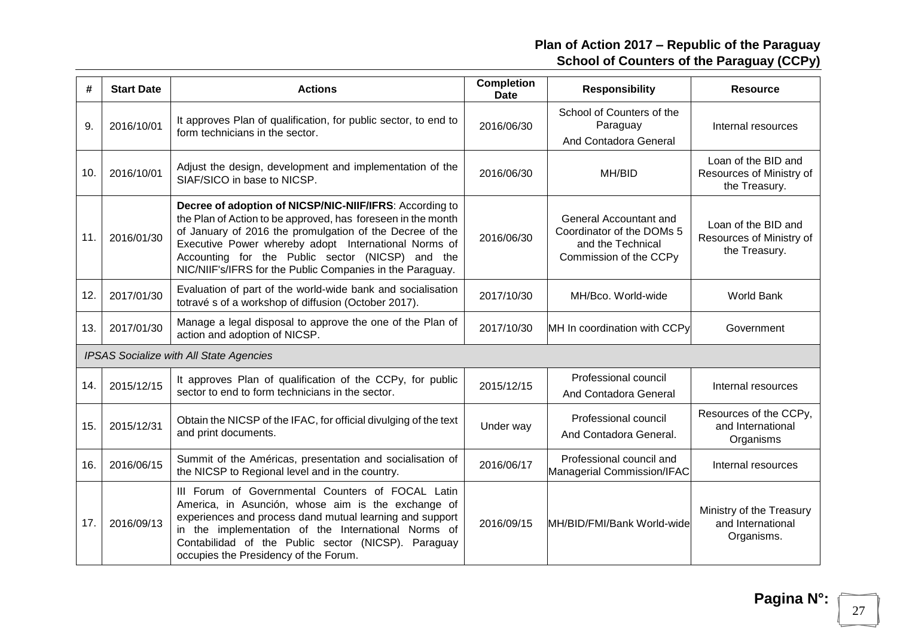| #   | <b>Start Date</b> | <b>Actions</b>                                                                                                                                                                                                                                                                                                                                               | <b>Completion</b><br><b>Date</b> | <b>Responsibility</b>                                                                              | <b>Resource</b>                                                  |
|-----|-------------------|--------------------------------------------------------------------------------------------------------------------------------------------------------------------------------------------------------------------------------------------------------------------------------------------------------------------------------------------------------------|----------------------------------|----------------------------------------------------------------------------------------------------|------------------------------------------------------------------|
| 9.  | 2016/10/01        | It approves Plan of qualification, for public sector, to end to<br>form technicians in the sector.                                                                                                                                                                                                                                                           | 2016/06/30                       | School of Counters of the<br>Paraguay<br>And Contadora General                                     | Internal resources                                               |
| 10. | 2016/10/01        | Adjust the design, development and implementation of the<br>SIAF/SICO in base to NICSP.                                                                                                                                                                                                                                                                      | 2016/06/30                       | MH/BID                                                                                             | Loan of the BID and<br>Resources of Ministry of<br>the Treasury. |
| 11. | 2016/01/30        | Decree of adoption of NICSP/NIC-NIIF/IFRS: According to<br>the Plan of Action to be approved, has foreseen in the month<br>of January of 2016 the promulgation of the Decree of the<br>Executive Power whereby adopt International Norms of<br>Accounting for the Public sector (NICSP) and the<br>NIC/NIIF's/IFRS for the Public Companies in the Paraguay. | 2016/06/30                       | General Accountant and<br>Coordinator of the DOMs 5<br>and the Technical<br>Commission of the CCPy | Loan of the BID and<br>Resources of Ministry of<br>the Treasury. |
| 12. | 2017/01/30        | Evaluation of part of the world-wide bank and socialisation<br>totravé s of a workshop of diffusion (October 2017).                                                                                                                                                                                                                                          | 2017/10/30                       | MH/Bco. World-wide                                                                                 | <b>World Bank</b>                                                |
| 13. | 2017/01/30        | Manage a legal disposal to approve the one of the Plan of<br>action and adoption of NICSP.                                                                                                                                                                                                                                                                   | 2017/10/30                       | MH In coordination with CCPy                                                                       | Government                                                       |
|     |                   | <b>IPSAS Socialize with All State Agencies</b>                                                                                                                                                                                                                                                                                                               |                                  |                                                                                                    |                                                                  |
| 14. | 2015/12/15        | It approves Plan of qualification of the CCPy, for public<br>sector to end to form technicians in the sector.                                                                                                                                                                                                                                                | 2015/12/15                       | Professional council<br>And Contadora General                                                      | Internal resources                                               |
| 15. | 2015/12/31        | Obtain the NICSP of the IFAC, for official divulging of the text<br>and print documents.                                                                                                                                                                                                                                                                     | Under way                        | Professional council<br>And Contadora General.                                                     | Resources of the CCPy,<br>and International<br>Organisms         |
| 16. | 2016/06/15        | Summit of the Américas, presentation and socialisation of<br>the NICSP to Regional level and in the country.                                                                                                                                                                                                                                                 | 2016/06/17                       | Professional council and<br>Managerial Commission/IFAC                                             | Internal resources                                               |
| 17. | 2016/09/13        | III Forum of Governmental Counters of FOCAL Latin<br>America, in Asunción, whose aim is the exchange of<br>experiences and process dand mutual learning and support<br>in the implementation of the International Norms of<br>Contabilidad of the Public sector (NICSP). Paraguay<br>occupies the Presidency of the Forum.                                   | 2016/09/15                       | MH/BID/FMI/Bank World-wide                                                                         | Ministry of the Treasury<br>and International<br>Organisms.      |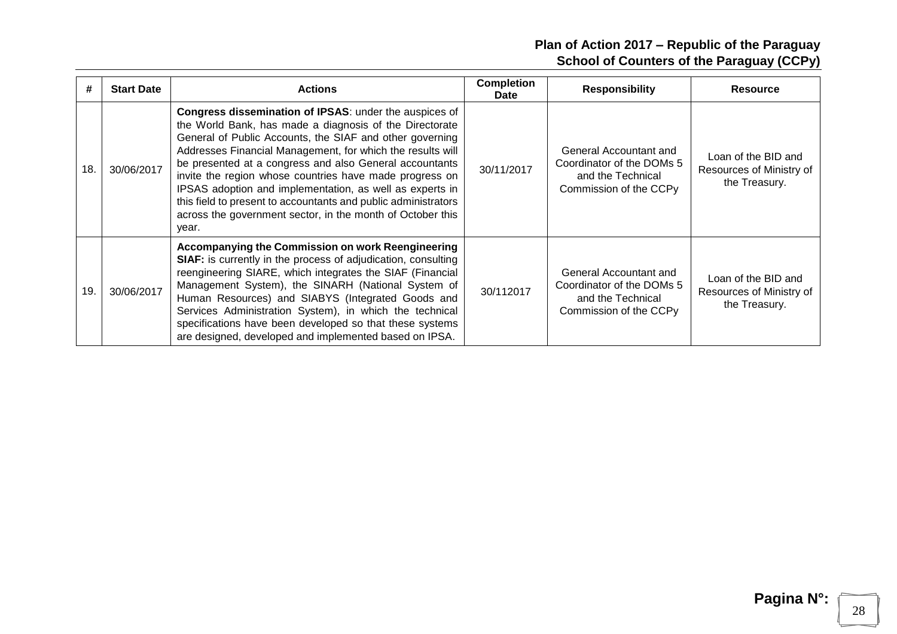| #   | <b>Start Date</b> | <b>Actions</b>                                                                                                                                                                                                                                                                                                                                                                                                                                                                                                                                                         | <b>Completion</b><br>Date | <b>Responsibility</b>                                                                              | <b>Resource</b>                                                  |
|-----|-------------------|------------------------------------------------------------------------------------------------------------------------------------------------------------------------------------------------------------------------------------------------------------------------------------------------------------------------------------------------------------------------------------------------------------------------------------------------------------------------------------------------------------------------------------------------------------------------|---------------------------|----------------------------------------------------------------------------------------------------|------------------------------------------------------------------|
| 18. | 30/06/2017        | Congress dissemination of IPSAS: under the auspices of<br>the World Bank, has made a diagnosis of the Directorate<br>General of Public Accounts, the SIAF and other governing<br>Addresses Financial Management, for which the results will<br>be presented at a congress and also General accountants<br>invite the region whose countries have made progress on<br>IPSAS adoption and implementation, as well as experts in<br>this field to present to accountants and public administrators<br>across the government sector, in the month of October this<br>year. | 30/11/2017                | General Accountant and<br>Coordinator of the DOMs 5<br>and the Technical<br>Commission of the CCPy | Loan of the BID and<br>Resources of Ministry of<br>the Treasury. |
| 19. | 30/06/2017        | Accompanying the Commission on work Reengineering<br><b>SIAF:</b> is currently in the process of adjudication, consulting<br>reengineering SIARE, which integrates the SIAF (Financial<br>Management System), the SINARH (National System of<br>Human Resources) and SIABYS (Integrated Goods and<br>Services Administration System), in which the technical<br>specifications have been developed so that these systems<br>are designed, developed and implemented based on IPSA.                                                                                     | 30/112017                 | General Accountant and<br>Coordinator of the DOMs 5<br>and the Technical<br>Commission of the CCPy | Loan of the BID and<br>Resources of Ministry of<br>the Treasury. |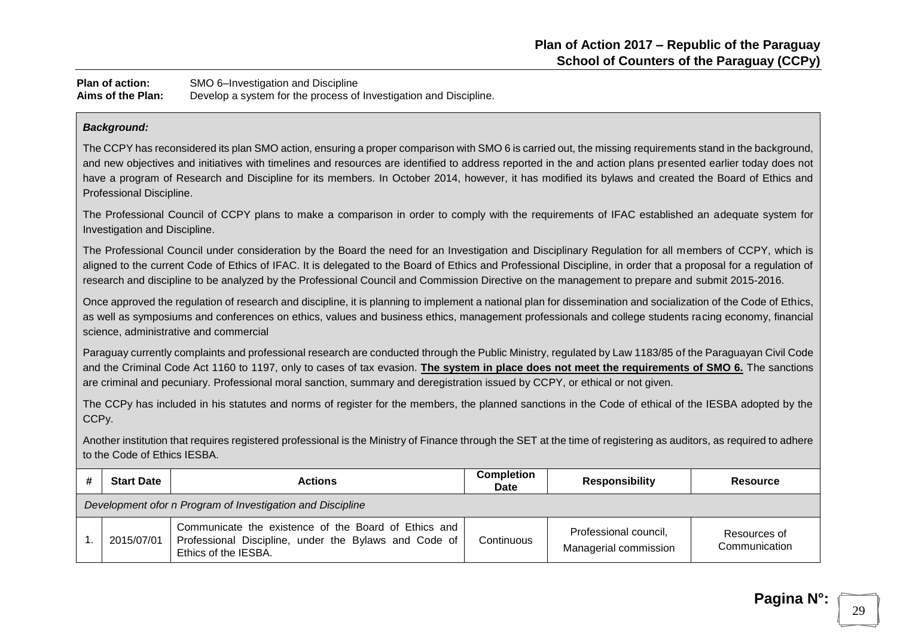**Plan of action:** SMO 6–Investigation and Discipline **Aims of the Plan:** Develop a system for the process of Investigation and Discipline.

#### *Background:*

The CCPY has reconsidered its plan SMO action, ensuring a proper comparison with SMO 6 is carried out, the missing requirements stand in the background, and new objectives and initiatives with timelines and resources are identified to address reported in the and action plans presented earlier today does not have a program of Research and Discipline for its members. In October 2014, however, it has modified its bylaws and created the Board of Ethics and Professional Discipline.

The Professional Council of CCPY plans to make a comparison in order to comply with the requirements of IFAC established an adequate system for Investigation and Discipline.

The Professional Council under consideration by the Board the need for an Investigation and Disciplinary Regulation for all members of CCPY, which is aligned to the current Code of Ethics of IFAC. It is delegated to the Board of Ethics and Professional Discipline, in order that a proposal for a regulation of research and discipline to be analyzed by the Professional Council and Commission Directive on the management to prepare and submit 2015-2016.

Once approved the regulation of research and discipline, it is planning to implement a national plan for dissemination and socialization of the Code of Ethics, as well as symposiums and conferences on ethics, values and business ethics, management professionals and college students racing economy, financial science, administrative and commercial

Paraguay currently complaints and professional research are conducted through the Public Ministry, regulated by Law 1183/85 of the Paraguayan Civil Code and the Criminal Code Act 1160 to 1197, only to cases of tax evasion. **The system in place does not meet the requirements of SMO 6.** The sanctions are criminal and pecuniary. Professional moral sanction, summary and deregistration issued by CCPY, or ethical or not given.

The CCPy has included in his statutes and norms of register for the members, the planned sanctions in the Code of ethical of the IESBA adopted by the CCP<sub>V</sub>.

Another institution that requires registered professional is the Ministry of Finance through the SET at the time of registering as auditors, as required to adhere to the Code of Ethics IESBA.

| <b>Start Date</b>                                          | <b>Actions</b>                                                                                                                        | <b>Completion</b><br><b>Date</b> | <b>Responsibility</b>                          | Resource                      |  |
|------------------------------------------------------------|---------------------------------------------------------------------------------------------------------------------------------------|----------------------------------|------------------------------------------------|-------------------------------|--|
| Development ofor n Program of Investigation and Discipline |                                                                                                                                       |                                  |                                                |                               |  |
| 2015/07/01                                                 | Communicate the existence of the Board of Ethics and<br>Professional Discipline, under the Bylaws and Code of<br>Ethics of the IESBA. | Continuous                       | Professional council,<br>Managerial commission | Resources of<br>Communication |  |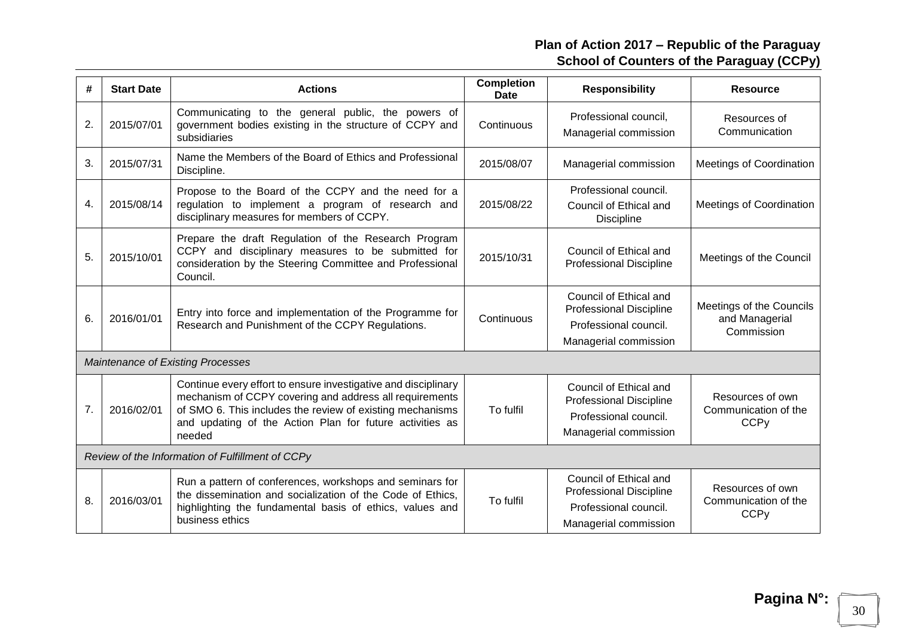| #                | <b>Start Date</b>                                | <b>Actions</b>                                                                                                                                                                                                                                               | <b>Completion</b><br><b>Date</b> | <b>Responsibility</b>                                                                                      | <b>Resource</b>                                                    |  |  |
|------------------|--------------------------------------------------|--------------------------------------------------------------------------------------------------------------------------------------------------------------------------------------------------------------------------------------------------------------|----------------------------------|------------------------------------------------------------------------------------------------------------|--------------------------------------------------------------------|--|--|
| 2.               | 2015/07/01                                       | Communicating to the general public, the powers of<br>government bodies existing in the structure of CCPY and<br>subsidiaries                                                                                                                                | Continuous                       | Professional council,<br>Managerial commission                                                             | Resources of<br>Communication                                      |  |  |
| 3.               | 2015/07/31                                       | Name the Members of the Board of Ethics and Professional<br>Discipline.                                                                                                                                                                                      | 2015/08/07                       | Managerial commission                                                                                      | Meetings of Coordination                                           |  |  |
| 4.               | 2015/08/14                                       | Propose to the Board of the CCPY and the need for a<br>regulation to implement a program of research and<br>disciplinary measures for members of CCPY.                                                                                                       | 2015/08/22                       | Professional council.<br>Council of Ethical and<br><b>Discipline</b>                                       | Meetings of Coordination                                           |  |  |
| 5.               | 2015/10/01                                       | Prepare the draft Regulation of the Research Program<br>CCPY and disciplinary measures to be submitted for<br>consideration by the Steering Committee and Professional<br>Council.                                                                           | 2015/10/31                       | Council of Ethical and<br><b>Professional Discipline</b>                                                   | Meetings of the Council                                            |  |  |
| 6.               | 2016/01/01                                       | Entry into force and implementation of the Programme for<br>Research and Punishment of the CCPY Regulations.                                                                                                                                                 | Continuous                       | Council of Ethical and<br><b>Professional Discipline</b><br>Professional council.<br>Managerial commission | Meetings of the Councils<br>and Managerial<br>Commission           |  |  |
|                  |                                                  | Maintenance of Existing Processes                                                                                                                                                                                                                            |                                  |                                                                                                            |                                                                    |  |  |
| $\overline{7}$ . | 2016/02/01                                       | Continue every effort to ensure investigative and disciplinary<br>mechanism of CCPY covering and address all requirements<br>of SMO 6. This includes the review of existing mechanisms<br>and updating of the Action Plan for future activities as<br>needed | To fulfil                        | Council of Ethical and<br><b>Professional Discipline</b><br>Professional council.<br>Managerial commission | Resources of own<br>Communication of the<br><b>CCPy</b>            |  |  |
|                  | Review of the Information of Fulfillment of CCPy |                                                                                                                                                                                                                                                              |                                  |                                                                                                            |                                                                    |  |  |
| 8.               | 2016/03/01                                       | Run a pattern of conferences, workshops and seminars for<br>the dissemination and socialization of the Code of Ethics,<br>highlighting the fundamental basis of ethics, values and<br>business ethics                                                        | To fulfil                        | Council of Ethical and<br><b>Professional Discipline</b><br>Professional council.<br>Managerial commission | Resources of own<br>Communication of the<br><b>CCP<sub>V</sub></b> |  |  |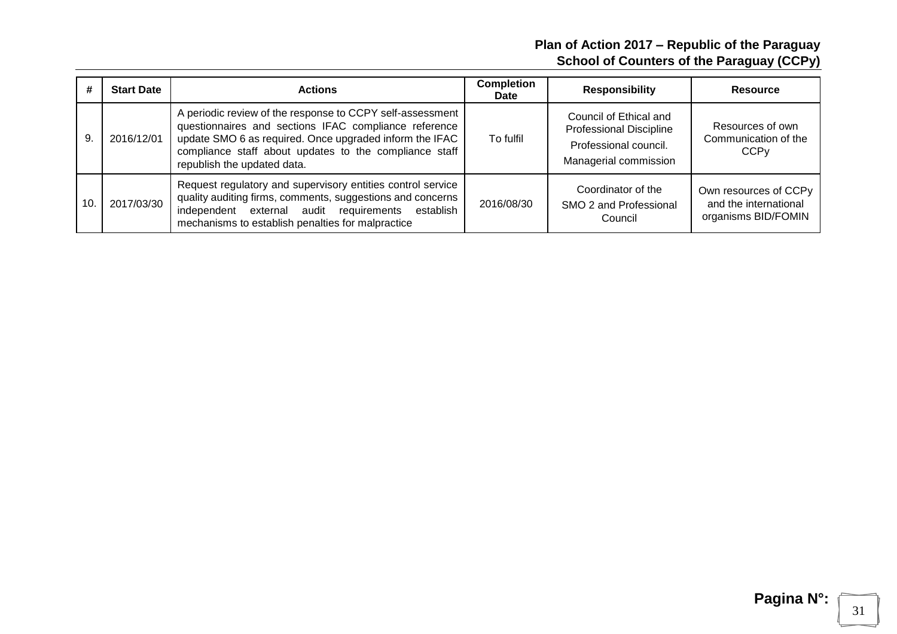|    | <b>Start Date</b> | <b>Actions</b>                                                                                                                                                                                                                                                         | <b>Completion</b><br>Date | <b>Responsibility</b>                                                                                      | Resource                                                              |
|----|-------------------|------------------------------------------------------------------------------------------------------------------------------------------------------------------------------------------------------------------------------------------------------------------------|---------------------------|------------------------------------------------------------------------------------------------------------|-----------------------------------------------------------------------|
| 9. | 2016/12/01        | A periodic review of the response to CCPY self-assessment<br>questionnaires and sections IFAC compliance reference<br>update SMO 6 as required. Once upgraded inform the IFAC<br>compliance staff about updates to the compliance staff<br>republish the updated data. | To fulfil                 | Council of Ethical and<br><b>Professional Discipline</b><br>Professional council.<br>Managerial commission | Resources of own<br>Communication of the<br><b>CCP<sub>V</sub></b>    |
| 10 | 2017/03/30        | Request regulatory and supervisory entities control service<br>quality auditing firms, comments, suggestions and concerns<br>independent external audit requirements<br>establish<br>mechanisms to establish penalties for malpractice                                 | 2016/08/30                | Coordinator of the<br>SMO 2 and Professional<br>Council                                                    | Own resources of CCPy<br>and the international<br>organisms BID/FOMIN |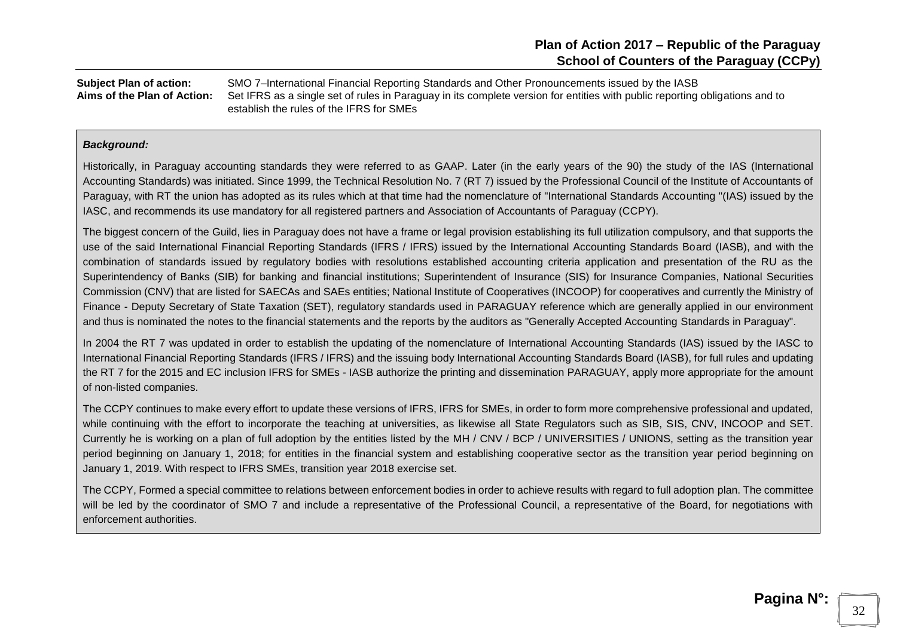**Subject Plan of action:** SMO 7–International Financial Reporting Standards and Other Pronouncements issued by the IASB **Aims of the Plan of Action:** Set IFRS as a single set of rules in Paraguay in its complete version for entities with public reporting obligations and to establish the rules of the IFRS for SMEs

#### *Background:*

Historically, in Paraguay accounting standards they were referred to as GAAP. Later (in the early years of the 90) the study of the IAS (International Accounting Standards) was initiated. Since 1999, the Technical Resolution No. 7 (RT 7) issued by the Professional Council of the Institute of Accountants of Paraguay, with RT the union has adopted as its rules which at that time had the nomenclature of "International Standards Accounting "(IAS) issued by the IASC, and recommends its use mandatory for all registered partners and Association of Accountants of Paraguay (CCPY).

The biggest concern of the Guild, lies in Paraguay does not have a frame or legal provision establishing its full utilization compulsory, and that supports the use of the said International Financial Reporting Standards (IFRS / IFRS) issued by the International Accounting Standards Board (IASB), and with the combination of standards issued by regulatory bodies with resolutions established accounting criteria application and presentation of the RU as the Superintendency of Banks (SIB) for banking and financial institutions; Superintendent of Insurance (SIS) for Insurance Companies, National Securities Commission (CNV) that are listed for SAECAs and SAEs entities; National Institute of Cooperatives (INCOOP) for cooperatives and currently the Ministry of Finance - Deputy Secretary of State Taxation (SET), regulatory standards used in PARAGUAY reference which are generally applied in our environment and thus is nominated the notes to the financial statements and the reports by the auditors as "Generally Accepted Accounting Standards in Paraguay".

In 2004 the RT 7 was updated in order to establish the updating of the nomenclature of International Accounting Standards (IAS) issued by the IASC to International Financial Reporting Standards (IFRS / IFRS) and the issuing body International Accounting Standards Board (IASB), for full rules and updating the RT 7 for the 2015 and EC inclusion IFRS for SMEs - IASB authorize the printing and dissemination PARAGUAY, apply more appropriate for the amount of non-listed companies.

The CCPY continues to make every effort to update these versions of IFRS, IFRS for SMEs, in order to form more comprehensive professional and updated, while continuing with the effort to incorporate the teaching at universities, as likewise all State Regulators such as SIB, SIS, CNV, INCOOP and SET. Currently he is working on a plan of full adoption by the entities listed by the MH / CNV / BCP / UNIVERSITIES / UNIONS, setting as the transition year period beginning on January 1, 2018; for entities in the financial system and establishing cooperative sector as the transition year period beginning on January 1, 2019. With respect to IFRS SMEs, transition year 2018 exercise set.

The CCPY, Formed a special committee to relations between enforcement bodies in order to achieve results with regard to full adoption plan. The committee will be led by the coordinator of SMO 7 and include a representative of the Professional Council, a representative of the Board, for negotiations with enforcement authorities.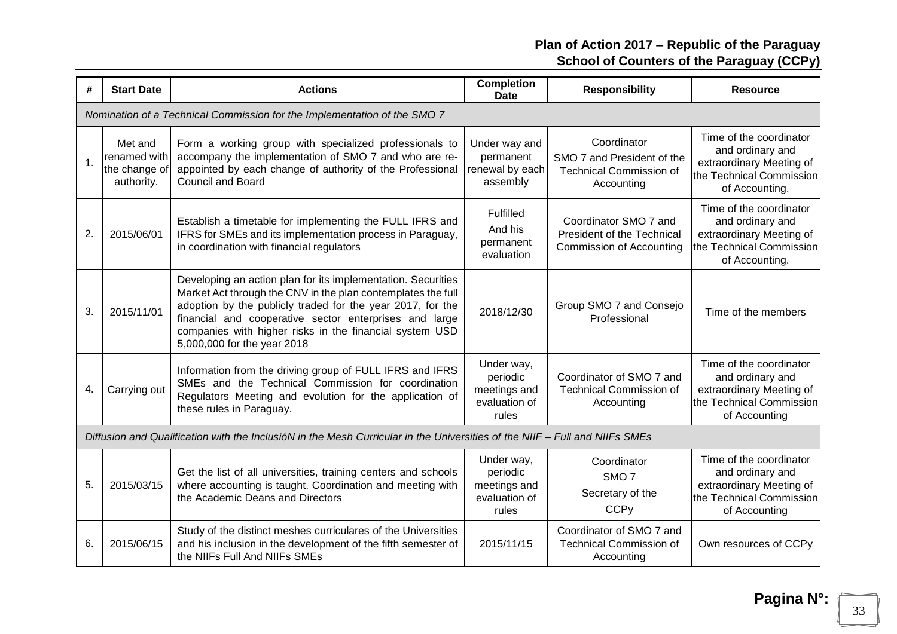| #             | <b>Start Date</b>                                      | <b>Actions</b>                                                                                                                                                                                                                                                                                                                                 | <b>Completion</b><br>Date                                        | <b>Responsibility</b>                                                                     | <b>Resource</b>                                                                                                       |
|---------------|--------------------------------------------------------|------------------------------------------------------------------------------------------------------------------------------------------------------------------------------------------------------------------------------------------------------------------------------------------------------------------------------------------------|------------------------------------------------------------------|-------------------------------------------------------------------------------------------|-----------------------------------------------------------------------------------------------------------------------|
|               |                                                        | Nomination of a Technical Commission for the Implementation of the SMO 7                                                                                                                                                                                                                                                                       |                                                                  |                                                                                           |                                                                                                                       |
| $\mathbf 1$ . | Met and<br>renamed with<br>the change of<br>authority. | Form a working group with specialized professionals to<br>accompany the implementation of SMO 7 and who are re-<br>appointed by each change of authority of the Professional<br><b>Council and Board</b>                                                                                                                                       | Under way and<br>permanent<br>renewal by each<br>assembly        | Coordinator<br>SMO 7 and President of the<br><b>Technical Commission of</b><br>Accounting | Time of the coordinator<br>and ordinary and<br>extraordinary Meeting of<br>the Technical Commission<br>of Accounting. |
| 2.            | 2015/06/01                                             | Establish a timetable for implementing the FULL IFRS and<br>IFRS for SMEs and its implementation process in Paraguay,<br>in coordination with financial regulators                                                                                                                                                                             | Fulfilled<br>And his<br>permanent<br>evaluation                  | Coordinator SMO 7 and<br><b>President of the Technical</b><br>Commission of Accounting    | Time of the coordinator<br>and ordinary and<br>extraordinary Meeting of<br>the Technical Commission<br>of Accounting. |
| 3.            | 2015/11/01                                             | Developing an action plan for its implementation. Securities<br>Market Act through the CNV in the plan contemplates the full<br>adoption by the publicly traded for the year 2017, for the<br>financial and cooperative sector enterprises and large<br>companies with higher risks in the financial system USD<br>5,000,000 for the year 2018 | 2018/12/30                                                       | Group SMO 7 and Consejo<br>Professional                                                   | Time of the members                                                                                                   |
| 4.            | Carrying out                                           | Information from the driving group of FULL IFRS and IFRS<br>SMEs and the Technical Commission for coordination<br>Regulators Meeting and evolution for the application of<br>these rules in Paraguay.                                                                                                                                          | Under way,<br>periodic<br>meetings and<br>evaluation of<br>rules | Coordinator of SMO 7 and<br><b>Technical Commission of</b><br>Accounting                  | Time of the coordinator<br>and ordinary and<br>extraordinary Meeting of<br>the Technical Commission<br>of Accounting  |
|               |                                                        | Diffusion and Qualification with the InclusióN in the Mesh Curricular in the Universities of the NIIF - Full and NIIFs SMEs                                                                                                                                                                                                                    |                                                                  |                                                                                           |                                                                                                                       |
| 5.            | 2015/03/15                                             | Get the list of all universities, training centers and schools<br>where accounting is taught. Coordination and meeting with<br>the Academic Deans and Directors                                                                                                                                                                                | Under way,<br>periodic<br>meetings and<br>evaluation of<br>rules | Coordinator<br>SMO <sub>7</sub><br>Secretary of the<br><b>CCPy</b>                        | Time of the coordinator<br>and ordinary and<br>extraordinary Meeting of<br>the Technical Commission<br>of Accounting  |
| 6.            | 2015/06/15                                             | Study of the distinct meshes curriculares of the Universities<br>and his inclusion in the development of the fifth semester of<br>the NIIFs Full And NIIFs SMEs                                                                                                                                                                                | 2015/11/15                                                       | Coordinator of SMO 7 and<br><b>Technical Commission of</b><br>Accounting                  | Own resources of CCPy                                                                                                 |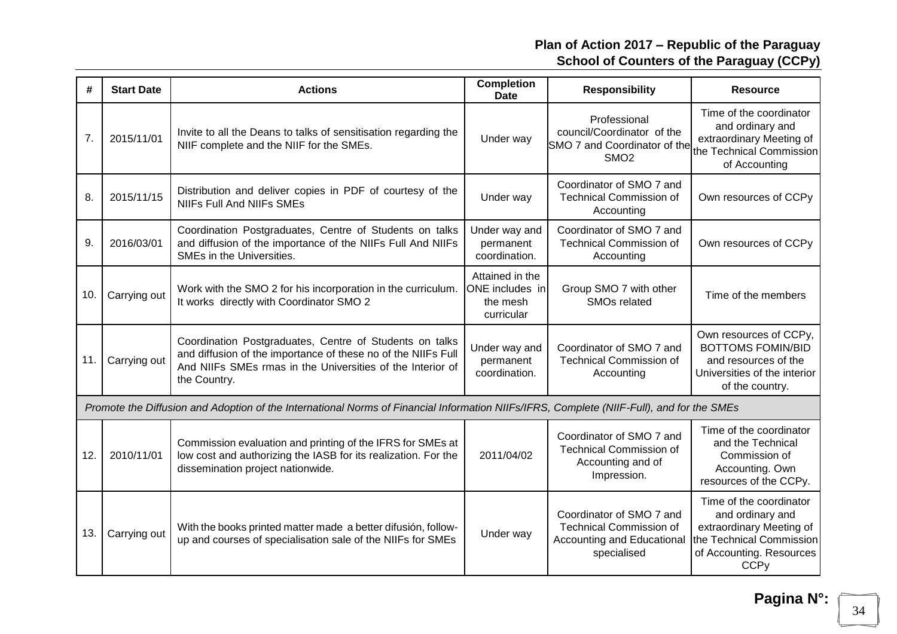| #   | <b>Start Date</b> | <b>Actions</b>                                                                                                                                                                                         | <b>Completion</b><br><b>Date</b>                             | <b>Responsibility</b>                                                                                   | <b>Resource</b>                                                                                                                                           |
|-----|-------------------|--------------------------------------------------------------------------------------------------------------------------------------------------------------------------------------------------------|--------------------------------------------------------------|---------------------------------------------------------------------------------------------------------|-----------------------------------------------------------------------------------------------------------------------------------------------------------|
| 7.  | 2015/11/01        | Invite to all the Deans to talks of sensitisation regarding the<br>NIIF complete and the NIIF for the SMEs.                                                                                            | Under way                                                    | Professional<br>council/Coordinator of the<br>SMO 7 and Coordinator of the<br>SMO <sub>2</sub>          | Time of the coordinator<br>and ordinary and<br>extraordinary Meeting of<br>the Technical Commission<br>of Accounting                                      |
| 8.  | 2015/11/15        | Distribution and deliver copies in PDF of courtesy of the<br><b>NIIFs Full And NIIFs SMEs</b>                                                                                                          | Under way                                                    | Coordinator of SMO 7 and<br><b>Technical Commission of</b><br>Accounting                                | Own resources of CCPy                                                                                                                                     |
| 9.  | 2016/03/01        | Coordination Postgraduates, Centre of Students on talks<br>and diffusion of the importance of the NIIFs Full And NIIFs<br>SMEs in the Universities.                                                    | Under way and<br>permanent<br>coordination.                  | Coordinator of SMO 7 and<br><b>Technical Commission of</b><br>Accounting                                | Own resources of CCPy                                                                                                                                     |
| 10. | Carrying out      | Work with the SMO 2 for his incorporation in the curriculum.<br>It works directly with Coordinator SMO 2                                                                                               | Attained in the<br>ONE includes in<br>the mesh<br>curricular | Group SMO 7 with other<br><b>SMOs related</b>                                                           | Time of the members                                                                                                                                       |
| 11. | Carrying out      | Coordination Postgraduates, Centre of Students on talks<br>and diffusion of the importance of these no of the NIIFs Full<br>And NIIFs SMEs rmas in the Universities of the Interior of<br>the Country. | Under way and<br>permanent<br>coordination.                  | Coordinator of SMO 7 and<br><b>Technical Commission of</b><br>Accounting                                | Own resources of CCPy,<br><b>BOTTOMS FOMIN/BID</b><br>and resources of the<br>Universities of the interior<br>of the country.                             |
|     |                   | Promote the Diffusion and Adoption of the International Norms of Financial Information NIIFs/IFRS, Complete (NIIF-Full), and for the SMEs                                                              |                                                              |                                                                                                         |                                                                                                                                                           |
| 12. | 2010/11/01        | Commission evaluation and printing of the IFRS for SMEs at<br>low cost and authorizing the IASB for its realization. For the<br>dissemination project nationwide.                                      | 2011/04/02                                                   | Coordinator of SMO 7 and<br><b>Technical Commission of</b><br>Accounting and of<br>Impression.          | Time of the coordinator<br>and the Technical<br>Commission of<br>Accounting. Own<br>resources of the CCPy.                                                |
| 13. | Carrying out      | With the books printed matter made a better difusión, follow-<br>up and courses of specialisation sale of the NIIFs for SMEs                                                                           | Under way                                                    | Coordinator of SMO 7 and<br><b>Technical Commission of</b><br>Accounting and Educational<br>specialised | Time of the coordinator<br>and ordinary and<br>extraordinary Meeting of<br>the Technical Commission<br>of Accounting. Resources<br><b>CCP<sub>y</sub></b> |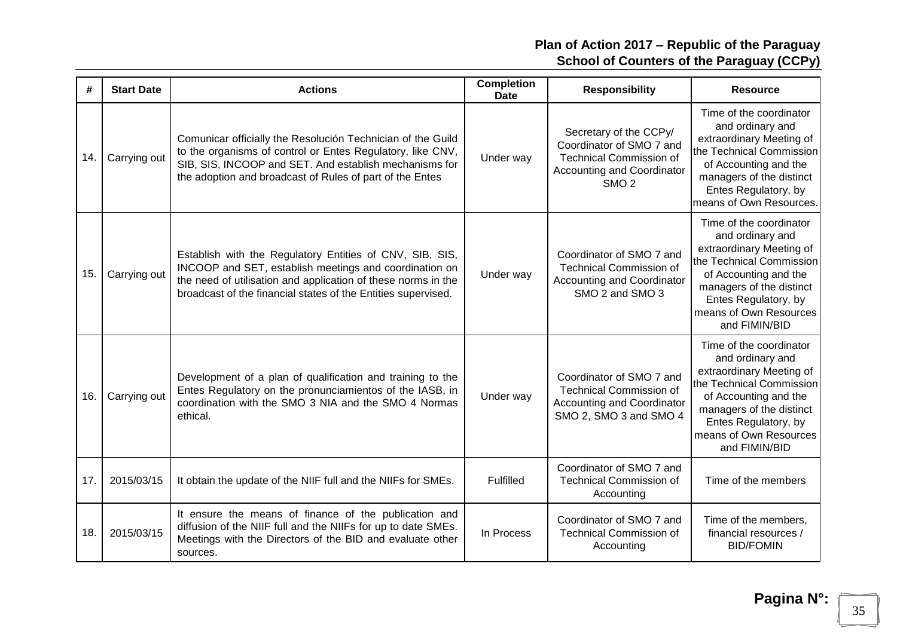| #   | <b>Start Date</b> | <b>Actions</b>                                                                                                                                                                                                                                       | <b>Completion</b><br><b>Date</b> | <b>Responsibility</b>                                                                                                                         | <b>Resource</b>                                                                                                                                                                                                             |
|-----|-------------------|------------------------------------------------------------------------------------------------------------------------------------------------------------------------------------------------------------------------------------------------------|----------------------------------|-----------------------------------------------------------------------------------------------------------------------------------------------|-----------------------------------------------------------------------------------------------------------------------------------------------------------------------------------------------------------------------------|
| 14. | Carrying out      | Comunicar officially the Resolución Technician of the Guild<br>to the organisms of control or Entes Regulatory, like CNV,<br>SIB, SIS, INCOOP and SET. And establish mechanisms for<br>the adoption and broadcast of Rules of part of the Entes      | Under way                        | Secretary of the CCPy/<br>Coordinator of SMO 7 and<br><b>Technical Commission of</b><br><b>Accounting and Coordinator</b><br>SMO <sub>2</sub> | Time of the coordinator<br>and ordinary and<br>extraordinary Meeting of<br>the Technical Commission<br>of Accounting and the<br>managers of the distinct<br>Entes Regulatory, by<br>means of Own Resources.                 |
| 15. | Carrying out      | Establish with the Regulatory Entities of CNV, SIB, SIS,<br>INCOOP and SET, establish meetings and coordination on<br>the need of utilisation and application of these norms in the<br>broadcast of the financial states of the Entities supervised. | Under way                        | Coordinator of SMO 7 and<br><b>Technical Commission of</b><br><b>Accounting and Coordinator</b><br>SMO 2 and SMO 3                            | Time of the coordinator<br>and ordinary and<br>extraordinary Meeting of<br>the Technical Commission<br>of Accounting and the<br>managers of the distinct<br>Entes Regulatory, by<br>means of Own Resources<br>and FIMIN/BID |
| 16. | Carrying out      | Development of a plan of qualification and training to the<br>Entes Regulatory on the pronunciamientos of the IASB, in<br>coordination with the SMO 3 NIA and the SMO 4 Normas<br>ethical.                                                           | Under way                        | Coordinator of SMO 7 and<br><b>Technical Commission of</b><br><b>Accounting and Coordinator</b><br>SMO 2, SMO 3 and SMO 4                     | Time of the coordinator<br>and ordinary and<br>extraordinary Meeting of<br>the Technical Commission<br>of Accounting and the<br>managers of the distinct<br>Entes Regulatory, by<br>means of Own Resources<br>and FIMIN/BID |
| 17. | 2015/03/15        | It obtain the update of the NIIF full and the NIIFs for SMEs.                                                                                                                                                                                        | Fulfilled                        | Coordinator of SMO 7 and<br><b>Technical Commission of</b><br>Accounting                                                                      | Time of the members                                                                                                                                                                                                         |
| 18. | 2015/03/15        | It ensure the means of finance of the publication and<br>diffusion of the NIIF full and the NIIFs for up to date SMEs.<br>Meetings with the Directors of the BID and evaluate other<br>sources.                                                      | In Process                       | Coordinator of SMO 7 and<br><b>Technical Commission of</b><br>Accounting                                                                      | Time of the members,<br>financial resources /<br><b>BID/FOMIN</b>                                                                                                                                                           |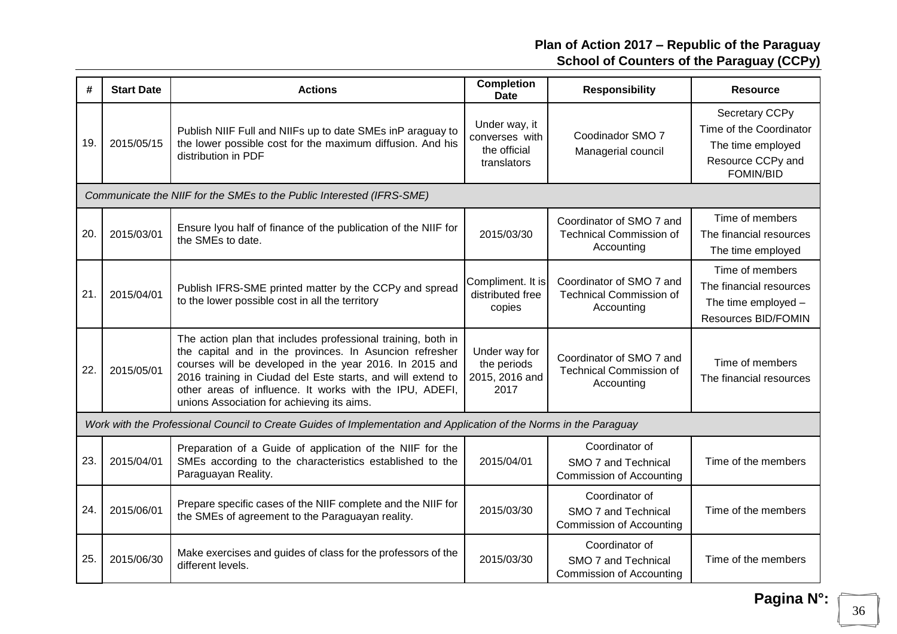| #   | <b>Start Date</b>                                                     | <b>Actions</b>                                                                                                                                                                                                                                                                                                                                             | <b>Completion</b><br><b>Date</b>                               | <b>Responsibility</b>                                                    | <b>Resource</b>                                                                                         |  |  |  |
|-----|-----------------------------------------------------------------------|------------------------------------------------------------------------------------------------------------------------------------------------------------------------------------------------------------------------------------------------------------------------------------------------------------------------------------------------------------|----------------------------------------------------------------|--------------------------------------------------------------------------|---------------------------------------------------------------------------------------------------------|--|--|--|
| 19. | 2015/05/15                                                            | Publish NIIF Full and NIIFs up to date SMEs inP araguay to<br>the lower possible cost for the maximum diffusion. And his<br>distribution in PDF                                                                                                                                                                                                            | Under way, it<br>converses with<br>the official<br>translators | Coodinador SMO 7<br>Managerial council                                   | Secretary CCPy<br>Time of the Coordinator<br>The time employed<br>Resource CCPy and<br><b>FOMIN/BID</b> |  |  |  |
|     | Communicate the NIIF for the SMEs to the Public Interested (IFRS-SME) |                                                                                                                                                                                                                                                                                                                                                            |                                                                |                                                                          |                                                                                                         |  |  |  |
| 20. | 2015/03/01                                                            | Ensure Iyou half of finance of the publication of the NIIF for<br>the SMEs to date.                                                                                                                                                                                                                                                                        | 2015/03/30                                                     | Coordinator of SMO 7 and<br><b>Technical Commission of</b><br>Accounting | Time of members<br>The financial resources<br>The time employed                                         |  |  |  |
| 21  | 2015/04/01                                                            | Publish IFRS-SME printed matter by the CCPy and spread<br>to the lower possible cost in all the territory                                                                                                                                                                                                                                                  | Compliment. It is<br>distributed free<br>copies                | Coordinator of SMO 7 and<br><b>Technical Commission of</b><br>Accounting | Time of members<br>The financial resources<br>The time employed -<br><b>Resources BID/FOMIN</b>         |  |  |  |
| 22. | 2015/05/01                                                            | The action plan that includes professional training, both in<br>the capital and in the provinces. In Asuncion refresher<br>courses will be developed in the year 2016. In 2015 and<br>2016 training in Ciudad del Este starts, and will extend to<br>other areas of influence. It works with the IPU, ADEFI,<br>unions Association for achieving its aims. | Under way for<br>the periods<br>2015, 2016 and<br>2017         | Coordinator of SMO 7 and<br><b>Technical Commission of</b><br>Accounting | Time of members<br>The financial resources                                                              |  |  |  |
|     |                                                                       | Work with the Professional Council to Create Guides of Implementation and Application of the Norms in the Paraguay                                                                                                                                                                                                                                         |                                                                |                                                                          |                                                                                                         |  |  |  |
| 23. | 2015/04/01                                                            | Preparation of a Guide of application of the NIIF for the<br>SMEs according to the characteristics established to the<br>Paraguayan Reality.                                                                                                                                                                                                               | 2015/04/01                                                     | Coordinator of<br>SMO 7 and Technical<br>Commission of Accounting        | Time of the members                                                                                     |  |  |  |
| 24. | 2015/06/01                                                            | Prepare specific cases of the NIIF complete and the NIIF for<br>the SMEs of agreement to the Paraguayan reality.                                                                                                                                                                                                                                           | 2015/03/30                                                     | Coordinator of<br>SMO 7 and Technical<br><b>Commission of Accounting</b> | Time of the members                                                                                     |  |  |  |
| 25. | 2015/06/30                                                            | Make exercises and guides of class for the professors of the<br>different levels.                                                                                                                                                                                                                                                                          | 2015/03/30                                                     | Coordinator of<br>SMO 7 and Technical<br><b>Commission of Accounting</b> | Time of the members                                                                                     |  |  |  |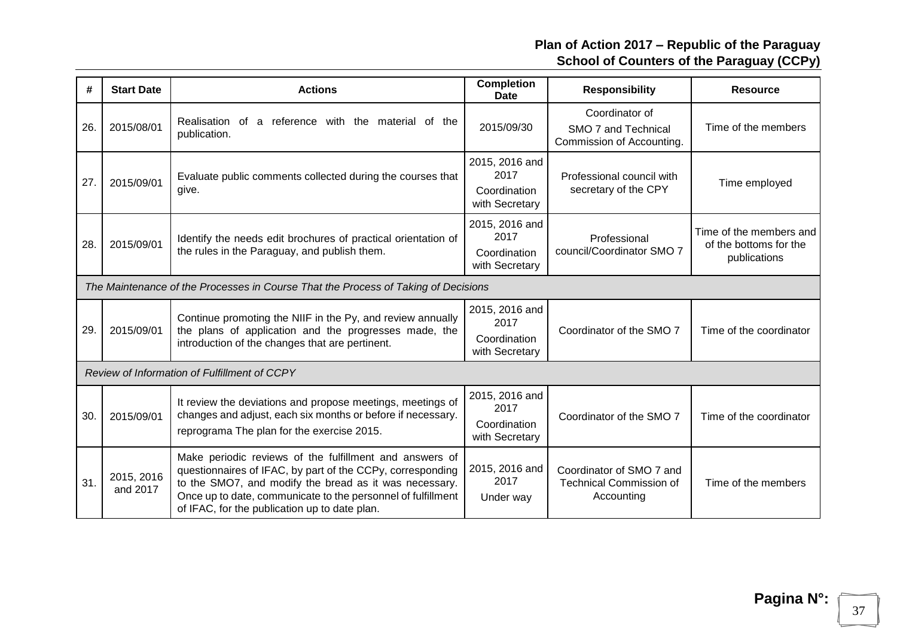| #   | <b>Start Date</b>      | <b>Actions</b>                                                                                                                                                                                                                                                                                   | <b>Completion</b><br><b>Date</b>                         | <b>Responsibility</b>                                                    | <b>Resource</b>                                                   |
|-----|------------------------|--------------------------------------------------------------------------------------------------------------------------------------------------------------------------------------------------------------------------------------------------------------------------------------------------|----------------------------------------------------------|--------------------------------------------------------------------------|-------------------------------------------------------------------|
| 26. | 2015/08/01             | a reference with the material of the<br>Realisation of<br>publication.                                                                                                                                                                                                                           | 2015/09/30                                               | Coordinator of<br>SMO 7 and Technical<br>Commission of Accounting.       | Time of the members                                               |
| 27  | 2015/09/01             | Evaluate public comments collected during the courses that<br>give.                                                                                                                                                                                                                              | 2015, 2016 and<br>2017<br>Coordination<br>with Secretary | Professional council with<br>secretary of the CPY                        | Time employed                                                     |
| 28. | 2015/09/01             | Identify the needs edit brochures of practical orientation of<br>the rules in the Paraguay, and publish them.                                                                                                                                                                                    | 2015, 2016 and<br>2017<br>Coordination<br>with Secretary | Professional<br>council/Coordinator SMO 7                                | Time of the members and<br>of the bottoms for the<br>publications |
|     |                        | The Maintenance of the Processes in Course That the Process of Taking of Decisions                                                                                                                                                                                                               |                                                          |                                                                          |                                                                   |
| 29. | 2015/09/01             | Continue promoting the NIIF in the Py, and review annually<br>the plans of application and the progresses made, the<br>introduction of the changes that are pertinent.                                                                                                                           | 2015, 2016 and<br>2017<br>Coordination<br>with Secretary | Coordinator of the SMO 7                                                 | Time of the coordinator                                           |
|     |                        | Review of Information of Fulfillment of CCPY                                                                                                                                                                                                                                                     |                                                          |                                                                          |                                                                   |
| 30. | 2015/09/01             | It review the deviations and propose meetings, meetings of<br>changes and adjust, each six months or before if necessary.<br>reprograma The plan for the exercise 2015.                                                                                                                          | 2015, 2016 and<br>2017<br>Coordination<br>with Secretary | Coordinator of the SMO 7                                                 | Time of the coordinator                                           |
| 31. | 2015, 2016<br>and 2017 | Make periodic reviews of the fulfillment and answers of<br>questionnaires of IFAC, by part of the CCPy, corresponding<br>to the SMO7, and modify the bread as it was necessary.<br>Once up to date, communicate to the personnel of fulfillment<br>of IFAC, for the publication up to date plan. | 2015, 2016 and<br>2017<br>Under way                      | Coordinator of SMO 7 and<br><b>Technical Commission of</b><br>Accounting | Time of the members                                               |